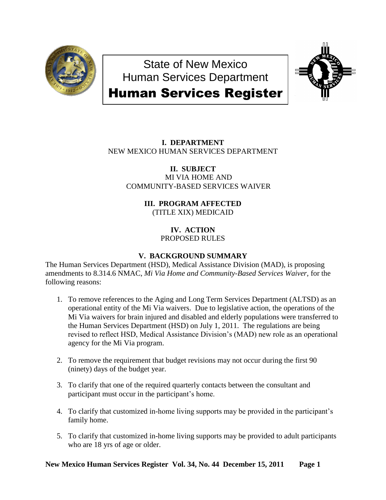

State of New Mexico Human Services Department



# Human Services Register

# **I. DEPARTMENT** NEW MEXICO HUMAN SERVICES DEPARTMENT

**II. SUBJECT** MI VIA HOME AND COMMUNITY-BASED SERVICES WAIVER

# **III. PROGRAM AFFECTED** (TITLE XIX) MEDICAID

**IV. ACTION** PROPOSED RULES

# **V. BACKGROUND SUMMARY**

The Human Services Department (HSD), Medical Assistance Division (MAD), is proposing amendments to 8.314.6 NMAC, *Mi Via Home and Community-Based Services Waiver,* for the following reasons:

- 1. To remove references to the Aging and Long Term Services Department (ALTSD) as an operational entity of the Mi Via waivers. Due to legislative action, the operations of the Mi Via waivers for brain injured and disabled and elderly populations were transferred to the Human Services Department (HSD) on July 1, 2011. The regulations are being revised to reflect HSD, Medical Assistance Division's (MAD) new role as an operational agency for the Mi Via program.
- 2. To remove the requirement that budget revisions may not occur during the first 90 (ninety) days of the budget year.
- 3. To clarify that one of the required quarterly contacts between the consultant and participant must occur in the participant's home.
- 4. To clarify that customized in-home living supports may be provided in the participant's family home.
- 5. To clarify that customized in-home living supports may be provided to adult participants who are 18 yrs of age or older.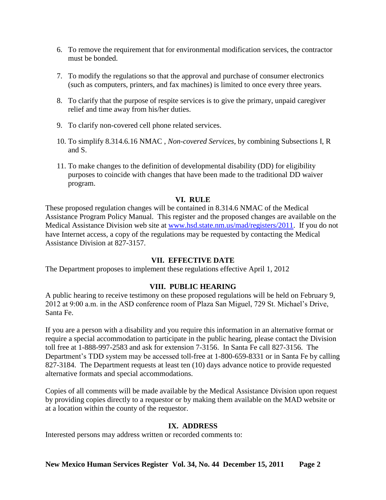- 6. To remove the requirement that for environmental modification services, the contractor must be bonded.
- 7. To modify the regulations so that the approval and purchase of consumer electronics (such as computers, printers, and fax machines) is limited to once every three years.
- 8. To clarify that the purpose of respite services is to give the primary, unpaid caregiver relief and time away from his/her duties.
- 9. To clarify non-covered cell phone related services.
- 10. To simplify 8.314.6.16 NMAC , *Non-covered Services*, by combining Subsections I, R and S.
- 11. To make changes to the definition of developmental disability (DD) for eligibility purposes to coincide with changes that have been made to the traditional DD waiver program.

# **VI. RULE**

These proposed regulation changes will be contained in 8.314.6 NMAC of the Medical Assistance Program Policy Manual. This register and the proposed changes are available on the Medical Assistance Division web site at [www.hsd.state.nm.us/mad/registers/2011.](http://www.hsd.state.nm.us/mad/registers/2011) If you do not have Internet access, a copy of the regulations may be requested by contacting the Medical Assistance Division at 827-3157.

# **VII. EFFECTIVE DATE**

The Department proposes to implement these regulations effective April 1, 2012

# **VIII. PUBLIC HEARING**

A public hearing to receive testimony on these proposed regulations will be held on February 9, 2012 at 9:00 a.m. in the ASD conference room of Plaza San Miguel, 729 St. Michael's Drive, Santa Fe.

If you are a person with a disability and you require this information in an alternative format or require a special accommodation to participate in the public hearing, please contact the Division toll free at 1-888-997-2583 and ask for extension 7-3156. In Santa Fe call 827-3156. The Department's TDD system may be accessed toll-free at 1-800-659-8331 or in Santa Fe by calling 827-3184. The Department requests at least ten (10) days advance notice to provide requested alternative formats and special accommodations.

Copies of all comments will be made available by the Medical Assistance Division upon request by providing copies directly to a requestor or by making them available on the MAD website or at a location within the county of the requestor.

# **IX. ADDRESS**

Interested persons may address written or recorded comments to: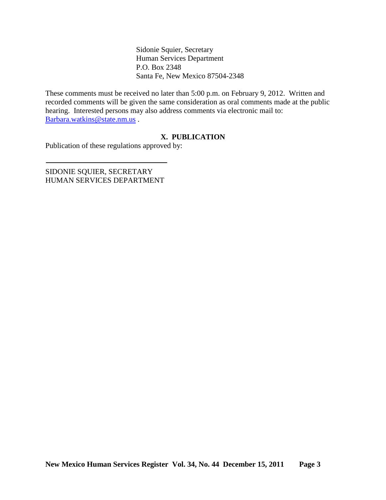Sidonie Squier, Secretary Human Services Department P.O. Box 2348 Santa Fe, New Mexico 87504-2348

These comments must be received no later than 5:00 p.m. on February 9, 2012. Written and recorded comments will be given the same consideration as oral comments made at the public hearing. Interested persons may also address comments via electronic mail to: [Barbara.watkins@state.nm.us](mailto:Barbara.watkins@state.nm.us) .

# **X. PUBLICATION**

Publication of these regulations approved by:

SIDONIE SQUIER, SECRETARY HUMAN SERVICES DEPARTMENT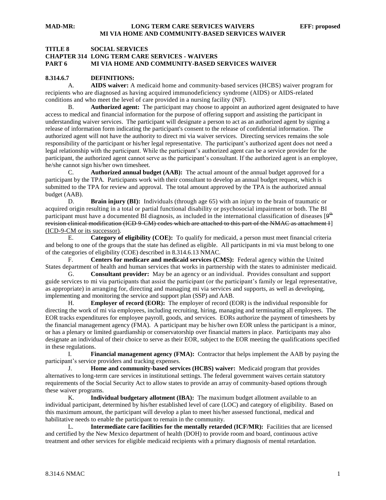### **TITLE 8 SOCIAL SERVICES CHAPTER 314 LONG TERM CARE SERVICES - WAIVERS PART 6 MI VIA HOME AND COMMUNITY-BASED SERVICES WAIVER**

#### **8.314.6.7 DEFINITIONS:**

A. **AIDS waiver:** A medicaid home and community-based services (HCBS) waiver program for recipients who are diagnosed as having acquired immunodeficiency syndrome (AIDS) or AIDS-related conditions and who meet the level of care provided in a nursing facility (NF).

B. **Authorized agent:** The participant may choose to appoint an authorized agent designated to have access to medical and financial information for the purpose of offering support and assisting the participant in understanding waiver services. The participant will designate a person to act as an authorized agent by signing a release of information form indicating the participant's consent to the release of confidential information. The authorized agent will not have the authority to direct mi via waiver services. Directing services remains the sole responsibility of the participant or his/her legal representative. The participant's authorized agent does not need a legal relationship with the participant. While the participant's authorized agent can be a service provider for the participant, the authorized agent cannot serve as the participant's consultant. If the authorized agent is an employee, he/she cannot sign his/her own timesheet.

C. **Authorized annual budget (AAB):** The actual amount of the annual budget approved for a participant by the TPA. Participants work with their consultant to develop an annual budget request, which is submitted to the TPA for review and approval. The total amount approved by the TPA is the authorized annual budget (AAB).

D. **Brain injury (BI):** Individuals (through age 65) with an injury to the brain of traumatic or acquired origin resulting in a total or partial functional disability or psychosocial impairment or both. The BI participant must have a documented BI diagnosis, as included in the international classification of diseases  $[9^{th}$ revision clinical modification (ICD 9-CM) codes which are attached to this part of the NMAC as attachment I] (ICD-9-CM or its successor).

E. **Category of eligibility (COE):** To qualify for medicaid, a person must meet financial criteria and belong to one of the groups that the state has defined as eligible. All participants in mi via must belong to one of the categories of eligibility (COE) described in 8.314.6.13 NMAC.

F. **Centers for medicare and medicaid services (CMS):** Federal agency within the United States department of health and human services that works in partnership with the states to administer medicaid.

G. **Consultant provider:** May be an agency or an individual. Provides consultant and support guide services to mi via participants that assist the participant (or the participant's family or legal representative, as appropriate) in arranging for, directing and managing mi via services and supports, as well as developing, implementing and monitoring the service and support plan (SSP) and AAB.

H. **Employer of record (EOR):** The employer of record (EOR) is the individual responsible for directing the work of mi via employees, including recruiting, hiring, managing and terminating all employees. The EOR tracks expenditures for employee payroll, goods, and services. EORs authorize the payment of timesheets by the financial management agency (FMA). A participant may be his/her own EOR unless the participant is a minor, or has a plenary or limited guardianship or conservatorship over financial matters in place. Participants may also designate an individual of their choice to serve as their EOR, subject to the EOR meeting the qualifications specified in these regulations.

I. **Financial management agency (FMA):** Contractor that helps implement the AAB by paying the participant's service providers and tracking expenses.

J. **Home and community-based services (HCBS) waiver:** Medicaid program that provides alternatives to long-term care services in institutional settings. The federal government waives certain statutory requirements of the Social Security Act to allow states to provide an array of community-based options through these waiver programs.

K. **Individual budgetary allotment (IBA):** The maximum budget allotment available to an individual participant, determined by his/her established level of care (LOC) and category of eligibility. Based on this maximum amount, the participant will develop a plan to meet his/her assessed functional, medical and habilitative needs to enable the participant to remain in the community.

L. **Intermediate care facilities for the mentally retarded (ICF/MR):** Facilities that are licensed and certified by the New Mexico department of health (DOH) to provide room and board, continuous active treatment and other services for eligible medicaid recipients with a primary diagnosis of mental retardation.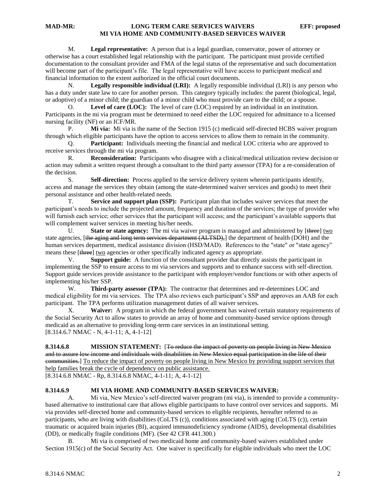M. **Legal representative:** A person that is a legal guardian, conservator, power of attorney or otherwise has a court established legal relationship with the participant. The participant must provide certified documentation to the consultant provider and FMA of the legal status of the representative and such documentation will become part of the participant's file. The legal representative will have access to participant medical and financial information to the extent authorized in the official court documents.

N. **Legally responsible individual (LRI):** A legally responsible individual (LRI) is any person who has a duty under state law to care for another person. This category typically includes: the parent (biological, legal, or adoptive) of a minor child; the guardian of a minor child who must provide care to the child; or a spouse.

O. **Level of care (LOC):** The level of care (LOC) required by an individual in an institution. Participants in the mi via program must be determined to need either the LOC required for admittance to a licensed nursing facility (NF) or an ICF/MR.

P. **Mi via:** Mi via is the name of the Section 1915 (c) medicaid self-directed HCBS waiver program through which eligible participants have the option to access services to allow them to remain in the community.

Q. **Participant:** Individuals meeting the financial and medical LOC criteria who are approved to receive services through the mi via program.

R. **Reconsideration:** Participants who disagree with a clinical/medical utilization review decision or action may submit a written request through a consultant to the third party assessor (TPA) for a re-consideration of the decision.

S. **Self-direction:** Process applied to the service delivery system wherein participants identify, access and manage the services they obtain (among the state-determined waiver services and goods) to meet their personal assistance and other health-related needs.

T. **Service and support plan (SSP):** Participant plan that includes waiver services that meet the participant's needs to include the projected amount, frequency and duration of the services; the type of provider who will furnish each service; other services that the participant will access; and the participant's available supports that will complement waiver services in meeting his/her needs.

U. **State or state agency:** The mi via waiver program is managed and administered by [three] two state agencies, [the aging and long term services department (ALTSD),] the department of health (DOH) and the human services department, medical assistance division (HSD/MAD). References to the "state" or "state agency" means these [three] two agencies or other specifically indicated agency as appropriate.

V. **Support guide:** A function of the consultant provider that directly assists the participant in implementing the SSP to ensure access to mi via services and supports and to enhance success with self-direction. Support guide services provide assistance to the participant with employer/vendor functions or with other aspects of implementing his/her SSP.

W. **Third-party assessor (TPA):** The contractor that determines and re-determines LOC and medical eligibility for mi via services. The TPA also reviews each participant's SSP and approves an AAB for each participant. The TPA performs utilization management duties of all waiver services.

X. **Waiver:** A program in which the federal government has waived certain statutory requirements of the Social Security Act to allow states to provide an array of home and community-based service options through medicaid as an alternative to providing long-term care services in an institutional setting. [8.314.6.7 NMAC - N, 4-1-11; A, 4-1-12]

**8.314.6.8 MISSION STATEMENT:** [To reduce the impact of poverty on people living in New Mexico and to assure low income and individuals with disabilities in New Mexico equal participation in the life of their communities.] To reduce the impact of poverty on people living in New Mexico by providing support services that help families break the cycle of dependency on public assistance. [8.314.6.8 NMAC - Rp, 8.314.6.8 NMAC, 4-1-11; A, 4-1-12]

#### **8.314.6.9 MI VIA HOME AND COMMUNITY-BASED SERVICES WAIVER:**

A. Mi via, New Mexico's self-directed waiver program (mi via), is intended to provide a communitybased alternative to institutional care that allows eligible participants to have control over services and supports. Mi via provides self-directed home and community-based services to eligible recipients, hereafter referred to as participants, who are living with disabilities (CoLTS (c)), conditions associated with aging (CoLTS (c)), certain traumatic or acquired brain injuries (BI), acquired immunodeficiency syndrome (AIDS), developmental disabilities (DD), or medically fragile conditions (MF). (See 42 CFR 441.300.)

B. Mi via is comprised of two medicaid home and community-based waivers established under Section 1915(c) of the Social Security Act. One waiver is specifically for eligible individuals who meet the LOC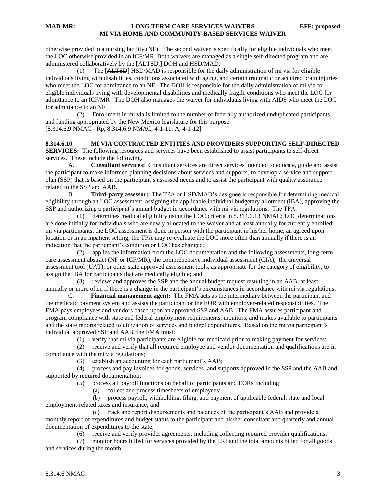otherwise provided in a nursing facility (NF). The second waiver is specifically for eligible individuals who meet the LOC otherwise provided in an ICF/MR. Both waivers are managed as a single self-directed program and are administered collaboratively by the [ALTSD,] DOH and HSD/MAD.

 (1) The [ALTSD] HSD/MAD is responsible for the daily administration of mi via for eligible individuals living with disabilities, conditions associated with aging, and certain traumatic or acquired brain injuries who meet the LOC for admittance to an NF. The DOH is responsible for the daily administration of mi via for eligible individuals living with developmental disabilities and medically fragile conditions who meet the LOC for admittance to an ICF/MR The DOH also manages the waiver for individuals living with AIDS who meet the LOC for admittance to an NF.

 (2) Enrollment in mi via is limited to the number of federally authorized unduplicated participants and funding appropriated by the New Mexico legislature for this purpose. [8.314.6.9 NMAC - Rp, 8.314.6.9 NMAC, 4-1-11; A, 4-1-12]

**8.314.6.10 MI VIA CONTRACTED ENTITIES AND PROVIDERS SUPPORTING SELF-DIRECTED SERVICES:** The following resources and services have been established to assist participants to self-direct services. These include the following.

A. **Consultant services:** Consultant services are direct services intended to educate, guide and assist the participant to make informed planning decisions about services and supports, to develop a service and support plan (SSP) that is based on the participant's assessed needs and to assist the participant with quality assurance related to the SSP and AAB.

B. **Third-party assessor:** The TPA or HSD/MAD's designee is responsible for determining medical eligibility through an LOC assessment, assigning the applicable individual budgetary allotment (IBA), approving the SSP and authorizing a participant's annual budget in accordance with mi via regulations. The TPA:

 (1) determines medical eligibility using the LOC criteria in 8.314.6.13 NMAC; LOC determinations are done initially for individuals who are newly allocated to the waiver and at least annually for currently enrolled mi via participants; the LOC assessment is done in person with the participant in his/her home, an agreed upon location or in an inpatient setting; the TPA may re-evaluate the LOC more often than annually if there is an indication that the participant's condition or LOC has changed;

 (2) applies the information from the LOC documentation and the following assessments, long-term care assessment abstract (NF or ICF/MR), the comprehensive individual assessment (CIA), the universal assessment tool (UAT), or other state approved assessment tools, as appropriate for the category of eligibility, to assign the IBA for participants that are medically eligible; and

 (3) reviews and approves the SSP and the annual budget request resulting in an AAB, at least annually or more often if there is a change in the participant's circumstances in accordance with mi via regulations.

C. **Financial management agent:** The FMA acts as the intermediary between the participant and the medicaid payment system and assists the participant or the EOR with employer-related responsibilities. The FMA pays employees and vendors based upon an approved SSP and AAB. The FMA assures participant and program compliance with state and federal employment requirements, monitors, and makes available to participants and the state reports related to utilization of services and budget expenditures. Based on the mi via participant's individual approved SSP and AAB, the FMA must:

(1) verify that mi via participants are eligible for medicaid prior to making payment for services;

 (2) receive and verify that all required employee and vendor documentation and qualifications are in compliance with the mi via regulations;

(3) establish an accounting for each participant's AAB;

 (4) process and pay invoices for goods, services, and supports approved in the SSP and the AAB and supported by required documentation;

(5) process all payroll functions on behalf of participants and EORs including:

(a) collect and process timesheets of employees;

 (b) process payroll, withholding, filing, and payment of applicable federal, state and local employment-related taxes and insurance; and

 (c) track and report disbursements and balances of the participant's AAB and provide a monthly report of expenditures and budget status to the participant and his/her consultant and quarterly and annual documentation of expenditures to the state;

(6) receive and verify provider agreements, including collecting required provider qualifications;

 (7) monitor hours billed for services provided by the LRI and the total amounts billed for all goods and services during the month;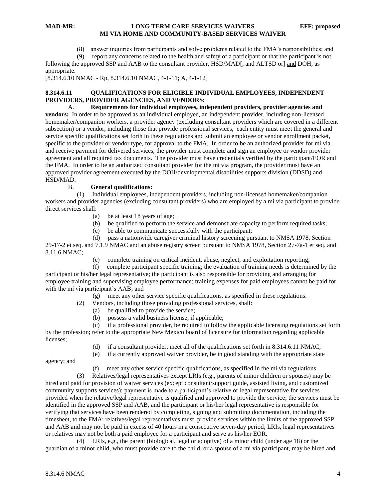(8) answer inquiries from participants and solve problems related to the FMA's responsibilities; and

 (9) report any concerns related to the health and safety of a participant or that the participant is not following the approved SSP and AAB to the consultant provider, HSD/MAD[, and ALTSD or] and DOH, as appropriate.

[8.314.6.10 NMAC - Rp, 8.314.6.10 NMAC, 4-1-11; A, 4-1-12]

#### **8.314.6.11 QUALIFICATIONS FOR ELIGIBLE INDIVIDUAL EMPLOYEES, INDEPENDENT PROVIDERS, PROVIDER AGENCIES, AND VENDORS:**

A. **Requirements for individual employees, independent providers, provider agencies and vendors:** In order to be approved as an individual employee, an independent provider, including non-licensed homemaker/companion workers, a provider agency (excluding consultant providers which are covered in a different subsection) or a vendor, including those that provide professional services, each entity must meet the general and service specific qualifications set forth in these regulations and submit an employee or vendor enrollment packet, specific to the provider or vendor type, for approval to the FMA. In order to be an authorized provider for mi via and receive payment for delivered services, the provider must complete and sign an employee or vendor provider agreement and all required tax documents. The provider must have credentials verified by the participant/EOR and the FMA. In order to be an authorized consultant provider for the mi via program, the provider must have an approved provider agreement executed by the DOH/developmental disabilities supports division (DDSD) and HSD/MAD.

#### B. **General qualifications:**

 (1) Individual employees, independent providers, including non-licensed homemaker/companion workers and provider agencies (excluding consultant providers) who are employed by a mi via participant to provide direct services shall:

- (a) be at least 18 years of age;
- (b) be qualified to perform the service and demonstrate capacity to perform required tasks;
- (c) be able to communicate successfully with the participant;
- (d) pass a nationwide caregiver criminal history screening pursuant to NMSA 1978, Section

29-17-2 et seq. and 7.1.9 NMAC and an abuse registry screen pursuant to NMSA 1978, Section 27-7a-1 et seq. and 8.11.6 NMAC;

(e) complete training on critical incident, abuse, neglect, and exploitation reporting;

 (f) complete participant specific training; the evaluation of training needs is determined by the participant or his/her legal representative; the participant is also responsible for providing and arranging for employee training and supervising employee performance; training expenses for paid employees cannot be paid for with the mi via participant's AAB; and

(g) meet any other service specific qualifications, as specified in these regulations.

- (2) Vendors, including those providing professional services, shall:
	- (a) be qualified to provide the service;
	- (b) possess a valid business license, if applicable;

 (c) if a professional provider, be required to follow the applicable licensing regulations set forth by the profession; refer to the appropriate New Mexico board of licensure for information regarding applicable licenses;

- (d) if a consultant provider, meet all of the qualifications set forth in 8.314.6.11 NMAC;
- (e) if a currently approved waiver provider, be in good standing with the appropriate state

agency; and

(f) meet any other service specific qualifications, as specified in the mi via regulations.

 (3) Relatives/legal representatives except LRIs (e.g., parents of minor children or spouses) may be hired and paid for provision of waiver services (except consultant/support guide, assisted living, and customized community supports services); payment is made to a participant's relative or legal representative for services provided when the relative/legal representative is qualified and approved to provide the service; the services must be identified in the approved SSP and AAB, and the participant or his/her legal representative is responsible for verifying that services have been rendered by completing, signing and submitting documentation, including the timesheet, to the FMA; relatives/legal representatives must provide services within the limits of the approved SSP and AAB and may not be paid in excess of 40 hours in a consecutive seven-day period; LRIs, legal representatives or relatives may not be both a paid employee for a participant and serve as his/her EOR.

 (4) LRIs, e.g., the parent (biological, legal or adoptive) of a minor child (under age 18) or the guardian of a minor child, who must provide care to the child, or a spouse of a mi via participant, may be hired and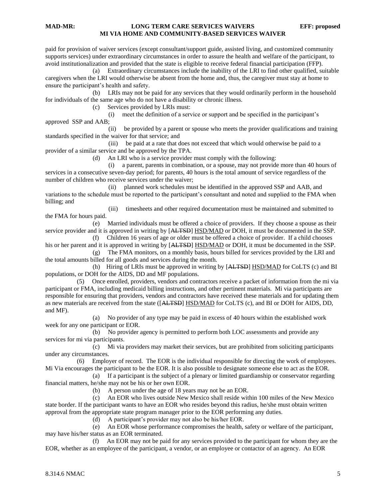paid for provision of waiver services (except consultant/support guide, assisted living, and customized community supports services) under extraordinary circumstances in order to assure the health and welfare of the participant, to avoid institutionalization and provided that the state is eligible to receive federal financial participation (FFP).

 (a) Extraordinary circumstances include the inability of the LRI to find other qualified, suitable caregivers when the LRI would otherwise be absent from the home and, thus, the caregiver must stay at home to ensure the participant's health and safety.

 (b) LRIs may not be paid for any services that they would ordinarily perform in the household for individuals of the same age who do not have a disability or chronic illness.

(c) Services provided by LRIs must:

 (i) meet the definition of a service or support and be specified in the participant's approved SSP and AAB;

 (ii) be provided by a parent or spouse who meets the provider qualifications and training standards specified in the waiver for that service; and

 (iii) be paid at a rate that does not exceed that which would otherwise be paid to a provider of a similar service and be approved by the TPA.

(d) An LRI who is a service provider must comply with the following:

 (i) a parent, parents in combination, or a spouse, may not provide more than 40 hours of services in a consecutive seven-day period; for parents, 40 hours is the total amount of service regardless of the number of children who receive services under the waiver;

 (ii) planned work schedules must be identified in the approved SSP and AAB, and variations to the schedule must be reported to the participant's consultant and noted and supplied to the FMA when billing; and

 (iii) timesheets and other required documentation must be maintained and submitted to the FMA for hours paid.

 (e) Married individuals must be offered a choice of providers. If they choose a spouse as their service provider and it is approved in writing by [ALTSD] HSD/MAD or DOH, it must be documented in the SSP.

 (f) Children 16 years of age or older must be offered a choice of provider. If a child chooses his or her parent and it is approved in writing by [ALTSD] HSD/MAD or DOH, it must be documented in the SSP.

 (g) The FMA monitors, on a monthly basis, hours billed for services provided by the LRI and the total amounts billed for all goods and services during the month.

 (h) Hiring of LRIs must be approved in writing by [ALTSD] HSD/MAD for CoLTS (c) and BI populations, or DOH for the AIDS, DD and MF populations.

 (5) Once enrolled, providers, vendors and contractors receive a packet of information from the mi via participant or FMA, including medicaid billing instructions, and other pertinent materials. Mi via participants are responsible for ensuring that providers, vendors and contractors have received these materials and for updating them as new materials are received from the state ([ALTSD] HSD/MAD for CoLTS (c), and BI or DOH for AIDS, DD, and MF).

 (a) No provider of any type may be paid in excess of 40 hours within the established work week for any one participant or EOR.

 (b) No provider agency is permitted to perform both LOC assessments and provide any services for mi via participants.

 (c) Mi via providers may market their services, but are prohibited from soliciting participants under any circumstances.

 (6) Employer of record. The EOR is the individual responsible for directing the work of employees. Mi Via encourages the participant to be the EOR. It is also possible to designate someone else to act as the EOR.

 (a) If a participant is the subject of a plenary or limited guardianship or conservator regarding financial matters, he/she may not be his or her own EOR.

(b) A person under the age of 18 years may not be an EOR.

 (c) An EOR who lives outside New Mexico shall reside within 100 miles of the New Mexico state border. If the participant wants to have an EOR who resides beyond this radius, he/she must obtain written approval from the appropriate state program manager prior to the EOR performing any duties.

(d) A participant's provider may not also be his/her EOR.

 (e) An EOR whose performance compromises the health, safety or welfare of the participant, may have his/her status as an EOR terminated.

 (f) An EOR may not be paid for any services provided to the participant for whom they are the EOR, whether as an employee of the participant, a vendor, or an employee or contactor of an agency. An EOR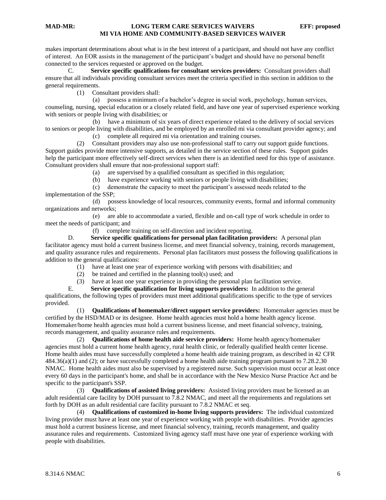makes important determinations about what is in the best interest of a participant, and should not have any conflict of interest. An EOR assists in the management of the participant's budget and should have no personal benefit connected to the services requested or approved on the budget.

C. **Service specific qualifications for consultant services providers:** Consultant providers shall ensure that all individuals providing consultant services meet the criteria specified in this section in addition to the general requirements.

(1) Consultant providers shall:

 (a) possess a minimum of a bachelor's degree in social work, psychology, human services, counseling, nursing, special education or a closely related field, and have one year of supervised experience working with seniors or people living with disabilities; or

 (b) have a minimum of six years of direct experience related to the delivery of social services to seniors or people living with disabilities, and be employed by an enrolled mi via consultant provider agency; and

(c) complete all required mi via orientation and training courses.

 (2) Consultant providers may also use non-professional staff to carry out support guide functions. Support guides provide more intensive supports, as detailed in the service section of these rules. Support guides help the participant more effectively self-direct services when there is an identified need for this type of assistance. Consultant providers shall ensure that non-professional support staff:

(a) are supervised by a qualified consultant as specified in this regulation;

- (b) have experience working with seniors or people living with disabilities;
- (c) demonstrate the capacity to meet the participant's assessed needs related to the

implementation of the SSP;

 (d) possess knowledge of local resources, community events, formal and informal community organizations and networks;

 (e) are able to accommodate a varied, flexible and on-call type of work schedule in order to meet the needs of participant; and

(f) complete training on self-direction and incident reporting.

D. **Service specific qualifications for personal plan facilitation providers:** A personal plan facilitator agency must hold a current business license, and meet financial solvency, training, records management, and quality assurance rules and requirements. Personal plan facilitators must possess the following qualifications in addition to the general qualifications:

- (1) have at least one year of experience working with persons with disabilities; and
- (2) be trained and certified in the planning tool(s) used; and

(3) have at least one year experience in providing the personal plan facilitation service.

E. **Service specific qualification for living supports providers:** In addition to the general qualifications, the following types of providers must meet additional qualifications specific to the type of services provided.

 (1) **Qualifications of homemaker/direct support service providers:** Homemaker agencies must be certified by the HSD/MAD or its designee. Home health agencies must hold a home health agency license. Homemaker/home health agencies must hold a current business license, and meet financial solvency, training, records management, and quality assurance rules and requirements.

 (2) **Qualifications of home health aide service providers:** Home health agency/homemaker agencies must hold a current home health agency, rural health clinic, or federally qualified health center license. Home health aides must have successfully completed a home health aide training program, as described in 42 CFR 484.36(a)(1) and (2); or have successfully completed a home health aide training program pursuant to 7.28.2.30 NMAC. Home health aides must also be supervised by a registered nurse. Such supervision must occur at least once every 60 days in the participant's home, and shall be in accordance with the New Mexico Nurse Practice Act and be specific to the participant's SSP.

 (3) **Qualifications of assisted living providers:** Assisted living providers must be licensed as an adult residential care facility by DOH pursuant to 7.8.2 NMAC, and meet all the requirements and regulations set forth by DOH as an adult residential care facility pursuant to 7.8.2 NMAC et seq.

 (4) **Qualifications of customized in-home living supports providers:** The individual customized living provider must have at least one year of experience working with people with disabilities. Provider agencies must hold a current business license, and meet financial solvency, training, records management, and quality assurance rules and requirements. Customized living agency staff must have one year of experience working with people with disabilities.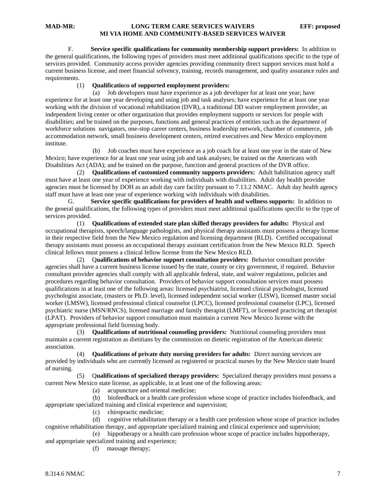F. **Service specific qualifications for community membership support providers:** In addition to the general qualifications, the following types of providers must meet additional qualifications specific to the type of services provided. Community access provider agencies providing community direct support services must hold a current business license, and meet financial solvency, training, records management, and quality assurance rules and requirements.

#### (1) **Qualificatio**n**s of supported employment providers:**

 (a) Job developers must have experience as a job developer for at least one year; have experience for at least one year developing and using job and task analyses; have experience for at least one year working with the division of vocational rehabilitation (DVR), a traditional DD waiver employment provider, an independent living center or other organization that provides employment supports or services for people with disabilities; and be trained on the purposes, functions and general practices of entities such as the department of workforce solutions navigators, one-stop career centers, business leadership network, chamber of commerce, job accommodation network, small business development centers, retired executives and New Mexico employment institute.

 (b) Job coaches must have experience as a job coach for at least one year in the state of New Mexico; have experience for at least one year using job and task analyses; be trained on the Americans with Disabilities Act (ADA); and be trained on the purpose, function and general practices of the DVR office.

 (2) **Qualifications of customized community supports providers:** Adult habilitation agency staff must have at least one year of experience working with individuals with disabilities. Adult day health provider agencies must be licensed by DOH as an adult day care facility pursuant to 7.13.2 NMAC. Adult day health agency staff must have at least one year of experience working with individuals with disabilities.

G. **Service specific qualifications for providers of health and wellness supports:** In addition to the general qualifications, the following types of providers must meet additional qualifications specific to the type of services provided.

 (1) **Qualifications of extended state plan skilled therapy providers for adults:** Physical and occupational therapists, speech/language pathologists, and physical therapy assistants must possess a therapy license in their respective field from the New Mexico regulation and licensing department (RLD). Certified occupational therapy assistants must possess an occupational therapy assistant certification from the New Mexico RLD. Speech clinical fellows must possess a clinical fellow license from the New Mexico RLD.

 (2) Q**ualifications of behavior support consultation providers:** Behavior consultant provider agencies shall have a current business license issued by the state, county or city government, if required. Behavior consultant provider agencies shall comply with all applicable federal, state, and waiver regulations, policies and procedures regarding behavior consultation. Providers of behavior support consultation services must possess qualifications in at least one of the following areas: licensed psychiatrist, licensed clinical psychologist, licensed psychologist associate, (masters or Ph.D. level), licensed independent social worker (LISW), licensed master social worker (LMSW), licensed professional clinical counselor (LPCC), licensed professional counselor (LPC), licensed psychiatric nurse (MSN/RNCS), licensed marriage and family therapist (LMFT), or licensed practicing art therapist (LPAT). Providers of behavior support consultation must maintain a current New Mexico license with the appropriate professional field licensing body.

 (3) **Qualifications of nutritional counseling providers:** Nutritional counseling providers must maintain a current registration as dietitians by the commission on dietetic registration of the American dietetic association.

 (4) **Qualifications of private duty nursing providers for adults:** Direct nursing services are provided by individuals who are currently licensed as registered or practical nurses by the New Mexico state board of nursing.

 (5) Q**ualifications of specialized therapy providers:** Specialized therapy providers must possess a current New Mexico state license, as applicable, in at least one of the following areas:

(a) acupuncture and oriental medicine;

 (b) biofeedback or a health care profession whose scope of practice includes biofeedback, and appropriate specialized training and clinical experience and supervision;

(c) chiropractic medicine;

 (d) cognitive rehabilitation therapy or a health care profession whose scope of practice includes cognitive rehabilitation therapy, and appropriate specialized training and clinical experience and supervision;

 (e) hippotherapy or a health care profession whose scope of practice includes hippotherapy, and appropriate specialized training and experience;

(f) massage therapy;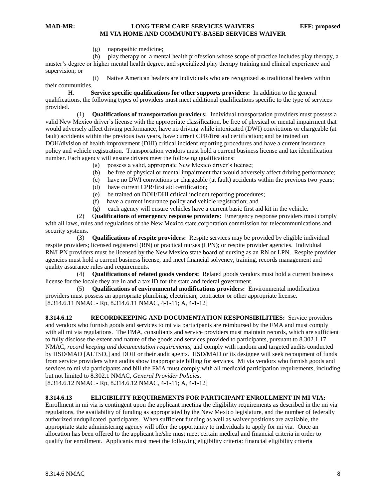(g) naprapathic medicine;

 (h) play therapy or a mental health profession whose scope of practice includes play therapy, a master's degree or higher mental health degree, and specialized play therapy training and clinical experience and supervision; or

 (i) Native American healers are individuals who are recognized as traditional healers within their communities.

H. **Service specific qualifications for other supports providers:** In addition to the general qualifications, the following types of providers must meet additional qualifications specific to the type of services provided.

 (1) **Qualifications of transportation providers:** Individual transportation providers must possess a valid New Mexico driver's license with the appropriate classification, be free of physical or mental impairment that would adversely affect driving performance, have no driving while intoxicated (DWI) convictions or chargeable (at fault) accidents within the previous two years, have current CPR/first aid certification; and be trained on DOH/division of health improvement (DHI) critical incident reporting procedures and have a current insurance policy and vehicle registration. Transportation vendors must hold a current business license and tax identification number. Each agency will ensure drivers meet the following qualifications:

- (a) possess a valid, appropriate New Mexico driver's license;
- (b) be free of physical or mental impairment that would adversely affect driving performance;
- (c) have no DWI convictions or chargeable (at fault) accidents within the previous two years;
- (d) have current CPR/first aid certification;
- (e) be trained on DOH/DHI critical incident reporting procedures;
- (f) have a current insurance policy and vehicle registration; and
- (g) each agency will ensure vehicles have a current basic first aid kit in the vehicle.

 (2) Q**ualifications of emergency response providers:** Emergency response providers must comply with all laws, rules and regulations of the New Mexico state corporation commission for telecommunications and security systems.

 (3) **Qualifications of respite providers:** Respite services may be provided by eligible individual respite providers; licensed registered (RN) or practical nurses (LPN); or respite provider agencies. Individual RN/LPN providers must be licensed by the New Mexico state board of nursing as an RN or LPN. Respite provider agencies must hold a current business license, and meet financial solvency, training, records management and quality assurance rules and requirements.

 (4) **Qualifications of related goods vendors:** Related goods vendors must hold a current business license for the locale they are in and a tax ID for the state and federal government.

 (5) **Qualifications of environmental modifications providers:** Environmental modification providers must possess an appropriate plumbing, electrician, contractor or other appropriate license. [8.314.6.11 NMAC - Rp, 8.314.6.11 NMAC, 4-1-11; A, 4-1-12]

**8.314.6.12 RECORDKEEPING AND DOCUMENTATION RESPONSIBILITIES:** Service providers and vendors who furnish goods and services to mi via participants are reimbursed by the FMA and must comply with all mi via regulations. The FMA, consultants and service providers must maintain records, which are sufficient to fully disclose the extent and nature of the goods and services provided to participants, pursuant to 8.302.1.17 NMAC, *record keeping and documentation requirements,* and comply with random and targeted audits conducted by HSD/MAD [ALTSD,] and DOH or their audit agents. HSD/MAD or its designee will seek recoupment of funds from service providers when audits show inappropriate billing for services. Mi via vendors who furnish goods and services to mi via participants and bill the FMA must comply with all medicaid participation requirements, including but not limited to 8.302.1 NMAC, *General Provider Policies*.

[8.314.6.12 NMAC - Rp, 8.314.6.12 NMAC, 4-1-11; A, 4-1-12]

#### **8.314.6.13 ELIGIBILITY REQUIREMENTS FOR PARTICIPANT ENROLLMENT IN MI VIA:**

Enrollment in mi via is contingent upon the applicant meeting the eligibility requirements as described in the mi via regulations, the availability of funding as appropriated by the New Mexico legislature, and the number of federally authorized unduplicated participants. When sufficient funding as well as waiver positions are available, the appropriate state administering agency will offer the opportunity to individuals to apply for mi via. Once an allocation has been offered to the applicant he/she must meet certain medical and financial criteria in order to qualify for enrollment. Applicants must meet the following eligibility criteria: financial eligibility criteria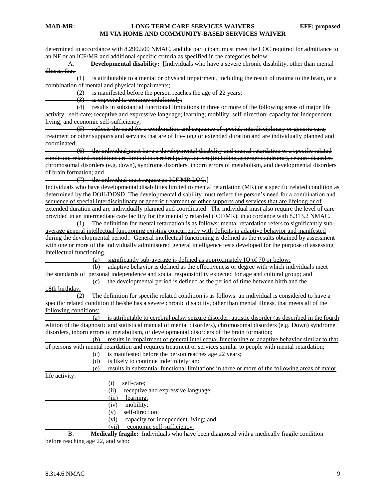determined in accordance with 8.290.500 NMAC, and the participant must meet the LOC required for admittance to an NF or an ICF/MR and additional specific criteria as specified in the categories below.

A. **Developmental disability:** [Individuals who have a severe chronic disability, other than mental illness, that:

 (1) is attributable to a mental or physical impairment, including the result of trauma to the brain, or a combination of mental and physical impairments;

(2) is manifested before the person reaches the age of 22 years;

 $(3)$  is expected to continue indefinitely;

 (4) results in substantial functional limitations in three or more of the following areas of major life activity: self-care; receptive and expressive language; learning; mobility; self-direction; capacity for independent living; and economic self-sufficiency;

 (5) reflects the need for a combination and sequence of special, interdisciplinary or generic care, treatment or other supports and services that are of life-long or extended duration and are individually planned and coordinated;

 (6) the individual must have a developmental disability and mental retardation or a specific related condition; related conditions are limited to cerebral palsy, autism (including asperger syndrome), seizure disorder, chromosomal disorders (e.g. down), syndrome disorders, inborn errors of metabolism, and developmental disorders of brain formation; and

(7) the individual must require an ICF/MR LOC.]

Individuals who have developmental disabilities limited to mental retardation (MR) or a specific related condition as determined by the DOH/DDSD. The developmental disability must reflect the person's need for a combination and sequence of special interdisciplinary or generic treatment or other supports and services that are lifelong or of extended duration and are individually planned and coordinated. The individual must also require the level of care provided in an intermediate care facility for the mentally retarded (ICF/MR), in accordance with 8.313.2 NMAC.

 (1) The definition for mental retardation is as follows: mental retardation refers to significantly subaverage general intellectual functioning existing concurrently with deficits in adaptive behavior and manifested during the developmental period.. General intellectual functioning is defined as the results obtained by assessment with one or more of the individually administered general intelligence tests developed for the purpose of assessing intellectual functioning.

(a) significantly sub-average is defined as approximately IQ of 70 or below;

 (b) adaptive behavior is defined as the effectiveness or degree with which individuals meet the standards of personal independence and social responsibility expected for age and cultural group; and

 (c) the developmental period is defined as the period of time between birth and the 18th birthday.

 (2) The definition for specific related condition is as follows: an individual is considered to have a specific related condition if he/she has a severe chronic disability, other than mental illness, that meets all of the following conditions:

 (a) is attributable to cerebral palsy, seizure disorder, autistic disorder (as described in the fourth edition of the diagnostic and statistical manual of mental disorders), chromosomal disorders (e.g. Down) syndrome disorders, inborn errors of metabolism, or developmental disorders of the brain formation;

 (b) results in impairment of general intellectual functioning or adaptive behavior similar to that of persons with mental retardation and requires treatment or services similar to people with mental retardation;

(c) is manifested before the person reaches age 22 years;

(d) is likely to continue indefinitely; and

 (e) results in substantial functional limitations in three or more of the following areas of major life activity:

 (i) self-care; (ii) receptive and expressive language; (iii) learning; (iv) mobility; (v) self-direction;

(vi) capacity for independent living; and

(vii) economic self-sufficiency.

B. **Medically fragile:** Individuals who have been diagnosed with a medically fragile condition before reaching age 22, and who: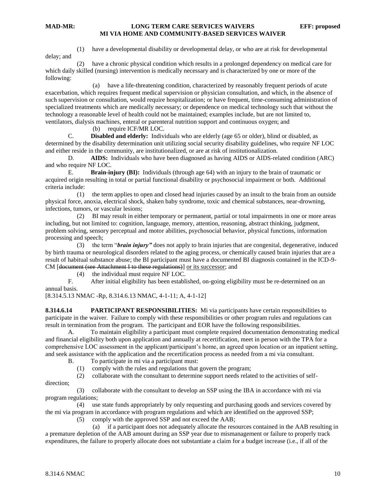(1) have a developmental disability or developmental delay, or who are at risk for developmental delay; and

 (2) have a chronic physical condition which results in a prolonged dependency on medical care for which daily skilled (nursing) intervention is medically necessary and is characterized by one or more of the following:

 (a) have a life-threatening condition, characterized by reasonably frequent periods of acute exacerbation, which requires frequent medical supervision or physician consultation, and which, in the absence of such supervision or consultation, would require hospitalization; or have frequent, time-consuming administration of specialized treatments which are medically necessary; or dependence on medical technology such that without the technology a reasonable level of health could not be maintained; examples include, but are not limited to, ventilators, dialysis machines, enteral or parenteral nutrition support and continuous oxygen; and

(b) require ICF/MR LOC.

C. **Disabled and elderly:** Individuals who are elderly (age 65 or older), blind or disabled, as determined by the disability determination unit utilizing social security disability guidelines, who require NF LOC and either reside in the community, are institutionalized, or are at risk of institutionalization.

D. **AIDS:** Individuals who have been diagnosed as having AIDS or AIDS-related condition (ARC) and who require NF LOC.

E. **Brain-injury (BI):** Individuals (through age 64) with an injury to the brain of traumatic or acquired origin resulting in total or partial functional disability or psychosocial impairment or both. Additional criteria include:

 (1) the term applies to open and closed head injuries caused by an insult to the brain from an outside physical force, anoxia, electrical shock, shaken baby syndrome, toxic and chemical substances, near-drowning, infections, tumors, or vascular lesions;

 (2) BI may result in either temporary or permanent, partial or total impairments in one or more areas including, but not limited to: cognition, language, memory, attention, reasoning, abstract thinking, judgment, problem solving, sensory perceptual and motor abilities, psychosocial behavior, physical functions, information processing and speech;

 (3) the term "*brain injury"* does not apply to brain injuries that are congenital, degenerative, induced by birth trauma or neurological disorders related to the aging process, or chemically caused brain injuries that are a result of habitual substance abuse; the BI participant must have a documented BI diagnosis contained in the ICD-9- CM [document (see Attachment I to these regulations)] or its successor; and

(4) the individual must require NF LOC.

F. After initial eligibility has been established, on-going eligibility must be re-determined on an annual basis.

[8.314.5.13 NMAC -Rp, 8.314.6.13 NMAC, 4-1-11; A, 4-1-12]

**8.314.6.14 PARTICIPANT RESPONSIBILITIES:** Mi via participants have certain responsibilities to participate in the waiver. Failure to comply with these responsibilities or other program rules and regulations can result in termination from the program. The participant and EOR have the following responsibilities.

A. To maintain eligibility a participant must complete required documentation demonstrating medical and financial eligibility both upon application and annually at recertification, meet in person with the TPA for a comprehensive LOC assessment in the applicant/participant's home, an agreed upon location or an inpatient setting, and seek assistance with the application and the recertification process as needed from a mi via consultant.

- B. To participate in mi via a participant must:
	- (1) comply with the rules and regulations that govern the program;

(2) collaborate with the consultant to determine support needs related to the activities of self-

direction;

 (3) collaborate with the consultant to develop an SSP using the IBA in accordance with mi via program regulations;

 (4) use state funds appropriately by only requesting and purchasing goods and services covered by the mi via program in accordance with program regulations and which are identified on the approved SSP;

(5) comply with the approved SSP and not exceed the AAB;

 (a) if a participant does not adequately allocate the resources contained in the AAB resulting in a premature depletion of the AAB amount during an SSP year due to mismanagement or failure to properly track expenditures, the failure to properly allocate does not substantiate a claim for a budget increase (i.e., if all of the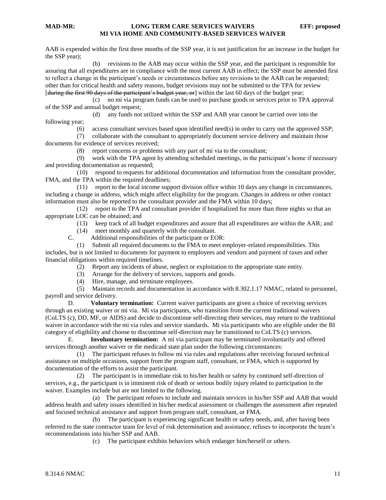AAB is expended within the first three months of the SSP year, it is not justification for an increase in the budget for the SSP year);

 (b) revisions to the AAB may occur within the SSP year, and the participant is responsible for assuring that all expenditures are in compliance with the most current AAB in effect; the SSP must be amended first to reflect a change in the participant's needs or circumstances before any revisions to the AAB can be requested; other than for critical health and safety reasons, budget revisions may not be submitted to the TPA for review [during the first 90 days of the participant's budget year, or] within the last 60 days of the budget year;

 (c) no mi via program funds can be used to purchase goods or services prior to TPA approval of the SSP and annual budget request;

 (d) any funds not utilized within the SSP and AAB year cannot be carried over into the following year;

(6) access consultant services based upon identified need(s) in order to carry out the approved SSP;

 (7) collaborate with the consultant to appropriately document service delivery and maintain those documents for evidence of services received;

(8) report concerns or problems with any part of mi via to the consultant;

 (9) work with the TPA agent by attending scheduled meetings, in the participant's home if necessary and providing documentation as requested;

 (10) respond to requests for additional documentation and information from the consultant provider, FMA, and the TPA within the required deadlines;

 (11) report to the local income support division office within 10 days any change in circumstances, including a change in address, which might affect eligibility for the program. Changes in address or other contact information must also be reported to the consultant provider and the FMA within 10 days;

 (12) report to the TPA and consultant provider if hospitalized for more than three nights so that an appropriate LOC can be obtained; and

- (13) keep track of all budget expenditures and assure that all expenditures are within the AAB; and
- (14) meet monthly and quarterly with the consultant.
- C. Additional responsibilities of the participant or EOR:

 (1) Submit all required documents to the FMA to meet employer-related responsibilities. This includes, but is not limited to documents for payment to employees and vendors and payment of taxes and other financial obligations within required timelines.

- (2) Report any incidents of abuse, neglect or exploitation to the appropriate state entity.
- (3) Arrange for the delivery of services, supports and goods.
- (4) Hire, manage, and terminate employees.

 (5) Maintain records and documentation in accordance with 8.302.1.17 NMAC, related to personnel, payroll and service delivery.

D. **Voluntary termination:** Current waiver participants are given a choice of receiving services through an existing waiver or mi via. Mi via participants, who transition from the current traditional waivers (CoLTS (c), DD, MF, or AIDS) and decide to discontinue self-directing their services, may return to the traditional waiver in accordance with the mi via rules and service standards. Mi via participants who are eligible under the BI category of eligibility and choose to discontinue self-direction may be transitioned to CoLTS (c) services.

E. **Involuntary termination:** A mi via participant may be terminated involuntarily and offered services through another waiver or the medicaid state plan under the following circumstances:

 (1) The participant refuses to follow mi via rules and regulations after receiving focused technical assistance on multiple occasions, support from the program staff, consultant, or FMA, which is supported by documentation of the efforts to assist the participant.

 (2) The participant is in immediate risk to his/her health or safety by continued self-direction of services, e.g., the participant is in imminent risk of death or serious bodily injury related to participation in the waiver. Examples include but are not limited to the following.

 (a) The participant refuses to include and maintain services in his/her SSP and AAB that would address health and safety issues identified in his/her medical assessment or challenges the assessment after repeated and focused technical assistance and support from program staff, consultant, or FMA.

 (b) The participant is experiencing significant health or safety needs, and, after having been referred to the state contractor team for level of risk determination and assistance, refuses to incorporate the team's recommendations into his/her SSP and AAB.

(c) The participant exhibits behaviors which endanger him/herself or others.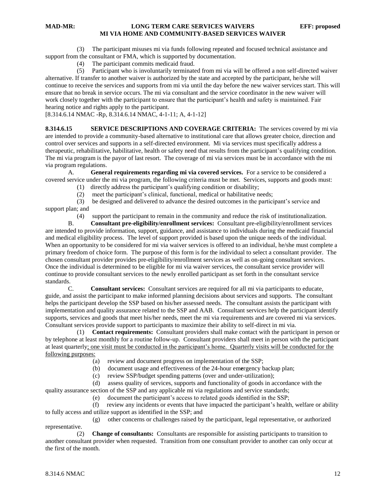(3) The participant misuses mi via funds following repeated and focused technical assistance and support from the consultant or FMA, which is supported by documentation.

(4) The participant commits medicaid fraud.

 (5) Participant who is involuntarily terminated from mi via will be offered a non self-directed waiver alternative. If transfer to another waiver is authorized by the state and accepted by the participant, he/she will continue to receive the services and supports from mi via until the day before the new waiver services start. This will ensure that no break in service occurs. The mi via consultant and the service coordinator in the new waiver will work closely together with the participant to ensure that the participant's health and safety is maintained. Fair hearing notice and rights apply to the participant.

[8.314.6.14 NMAC -Rp, 8.314.6.14 NMAC, 4-1-11; A, 4-1-12]

**8.314.6.15 SERVICE DESCRIPTIONS AND COVERAGE CRITERIA:** The services covered by mi via are intended to provide a community-based alternative to institutional care that allows greater choice, direction and control over services and supports in a self-directed environment. Mi via services must specifically address a therapeutic, rehabilitative, habilitative, health or safety need that results from the participant's qualifying condition. The mi via program is the payor of last resort. The coverage of mi via services must be in accordance with the mi via program regulations.

A. **General requirements regarding mi via covered services.** For a service to be considered a covered service under the mi via program, the following criteria must be met. Services, supports and goods must:

- (1) directly address the participant's qualifying condition or disability;
- (2) meet the participant's clinical, functional, medical or habilitative needs;

 (3) be designed and delivered to advance the desired outcomes in the participant's service and support plan; and

(4) support the participant to remain in the community and reduce the risk of institutionalization.

B. **Consultant pre-eligibility/enrollment services:** Consultant pre-eligibility/enrollment services are intended to provide information, support, guidance, and assistance to individuals during the medicaid financial and medical eligibility process. The level of support provided is based upon the unique needs of the individual. When an opportunity to be considered for mi via waiver services is offered to an individual, he/she must complete a primary freedom of choice form. The purpose of this form is for the individual to select a consultant provider. The chosen consultant provider provides pre-eligibility/enrollment services as well as on-going consultant services. Once the individual is determined to be eligible for mi via waiver services, the consultant service provider will continue to provide consultant services to the newly enrolled participant as set forth in the consultant service standards.

C. **Consultant services:** Consultant services are required for all mi via participants to educate, guide, and assist the participant to make informed planning decisions about services and supports. The consultant helps the participant develop the SSP based on his/her assessed needs. The consultant assists the participant with implementation and quality assurance related to the SSP and AAB. Consultant services help the participant identify supports, services and goods that meet his/her needs, meet the mi via requirements and are covered mi via services. Consultant services provide support to participants to maximize their ability to self-direct in mi via.

 (1) **Contact requirements:** Consultant providers shall make contact with the participant in person or by telephone at least monthly for a routine follow-up. Consultant providers shall meet in person with the participant at least quarterly; one visit must be conducted in the participant's home. Quarterly visits will be conducted for the following purposes:

(a) review and document progress on implementation of the SSP;

(b) document usage and effectiveness of the 24-hour em**e**rgency backup plan;

(c) review SSP/budget spending patterns (over and under-utilization);

(d) assess quality of services, supports and functionality of goods in accordance with the

quality assurance section of the SSP and any applicable mi via regulations and service standards;

(e) document the participant's access to related goods identified in the SSP;

 (f) review any incidents or events that have impacted the participant's health, welfare or ability to fully access and utilize support as identified in the SSP; and

 (g) other concerns or challenges raised by the participant, legal representative, or authorized representative.

 (2) **Change of consultants:** Consultants are responsible for assisting participants to transition to another consultant provider when requested. Transition from one consultant provider to another can only occur at the first of the month.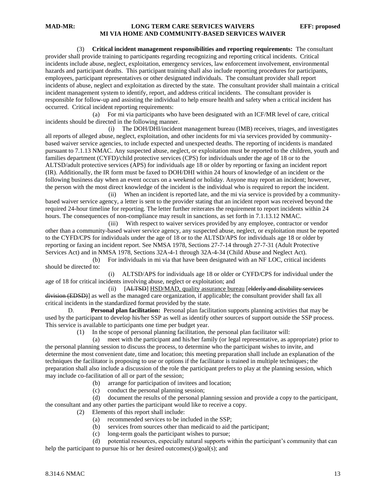(3) **Critical incident management responsibilities and reporting requirements:** The consultant provider shall provide training to participants regarding recognizing and reporting critical incidents. Critical incidents include abuse, neglect, exploitation, emergency services, law enforcement involvement, environmental hazards and participant deaths. This participant training shall also include reporting procedures for participants, employees, participant representatives or other designated individuals. The consultant provider shall report incidents of abuse, neglect and exploitation as directed by the state. The consultant provider shall maintain a critical incident management system to identify, report, and address critical incidents. The consultant provider is responsible for follow-up and assisting the individual to help ensure health and safety when a critical incident has occurred. Critical incident reporting requirements:

 (a) For mi via participants who have been designated with an ICF/MR level of care, critical incidents should be directed in the following manner.

 (i) The DOH/DHI/incident management bureau (IMB) receives, triages, and investigates all reports of alleged abuse, neglect, exploitation, and other incidents for mi via services provided by communitybased waiver service agencies, to include expected and unexpected deaths. The reporting of incidents is mandated pursuant to 7.1.13 NMAC. Any suspected abuse, neglect, or exploitation must be reported to the children, youth and families department (CYFD)/child protective services (CPS) for individuals under the age of 18 or to the ALTSD/adult protective services (APS) for individuals age 18 or older by reporting or faxing an incident report (IR). Additionally, the IR form must be faxed to DOH/DHI within 24 hours of knowledge of an incident or the following business day when an event occurs on a weekend or holiday. Anyone may report an incident; however, the person with the most direct knowledge of the incident is the individual who is required to report the incident.

 (ii) When an incident is reported late, and the mi via service is provided by a communitybased waiver service agency, a letter is sent to the provider stating that an incident report was received beyond the required 24-hour timeline for reporting. The letter further reiterates the requirement to report incidents within 24 hours. The consequences of non-compliance may result in sanctions, as set forth in 7.1.13.12 NMAC.

 (iii) With respect to waiver services provided by any employee, contractor or vendor other than a community-based waiver service agency, any suspected abuse, neglect, or exploitation must be reported to the CYFD/CPS for individuals under the age of 18 or to the ALTSD/APS for individuals age 18 or older by reporting or faxing an incident report. See NMSA 1978, Sections 27-7-14 through 27-7-31 (Adult Protective Services Act) and in NMSA 1978, Sections 32A-4-1 through 32A-4-34 (Child Abuse and Neglect Act).

 (b) For individuals in mi via that have been designated with an NF LOC, critical incidents should be directed to:

 (i) ALTSD/APS for individuals age 18 or older or CYFD/CPS for individual under the age of 18 for critical incidents involving abuse, neglect or exploitation; and

 (ii) [ALTSD] HSD/MAD, quality assurance bureau [elderly and disability services division (EDSD)] as well as the managed care organization, if applicable; the consultant provider shall fax all critical incidents in the standardized format provided by the state.

D. **Personal plan facilitation:** Personal plan facilitation supports planning activities that may be used by the participant to develop his/her SSP as well as identify other sources of support outside the SSP process. This service is available to participants one time per budget year.

(1) In the scope of personal planning facilitation, the personal plan facilitator will:

 (a) meet with the participant and his/her family (or legal representative, as appropriate) prior to the personal planning session to discuss the process, to determine who the participant wishes to invite, and determine the most convenient date, time and location; this meeting preparation shall include an explanation of the techniques the facilitator is proposing to use or options if the facilitator is trained in multiple techniques; the preparation shall also include a discussion of the role the participant prefers to play at the planning session, which may include co-facilitation of all or part of the session;

- (b) arrange for participation of invitees and location;
- (c) conduct the personal planning session;

 (d) document the results of the personal planning session and provide a copy to the participant, the consultant and any other parties the participant would like to receive a copy.

(2) Elements of this report shall include:

- (a) recommended services to be included in the SSP;
- (b) services from sources other than medicaid to aid the participant;<br>(c) long-term goals the participant wishes to pursue:
- (c) long-term goals the participant wishes to pursue;<br>(d) potential resources, especially natural supports w

potential resources, especially natural supports within the participant's community that can help the participant to pursue his or her desired outcomes(s)/goal(s); and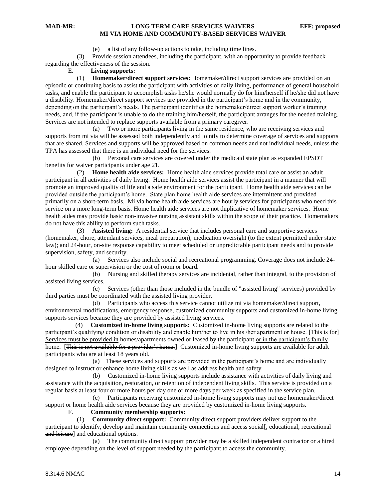(e) a list of any follow-up actions to take, including time lines.

 (3) Provide session attendees, including the participant, with an opportunity to provide feedback regarding the effectiveness of the session.

#### E. **Living supports:**

 (1) **Homemaker/direct support services:** Homemaker/direct support services are provided on an episodic or continuing basis to assist the participant with activities of daily living, performance of general household tasks, and enable the participant to accomplish tasks he/she would normally do for him/herself if he/she did not have a disability. Homemaker/direct support services are provided in the participant's home and in the community, depending on the participant's needs. The participant identifies the homemaker/direct support worker's training needs, and, if the participant is unable to do the training him/herself, the participant arranges for the needed training. Services are not intended to replace supports available from a primary caregiver.

 (a) Two or more participants living in the same residence, who are receiving services and supports from mi via will be assessed both independently and jointly to determine coverage of services and supports that are shared. Services and supports will be approved based on common needs and not individual needs, unless the TPA has assessed that there is an individual need for the services.

 (b) Personal care services are covered under the medicaid state plan as expanded EPSDT benefits for waiver participants under age 21.

 (2) **Home health aide services:** Home health aide services provide total care or assist an adult participant in all activities of daily living. Home health aide services assist the participant in a manner that will promote an improved quality of life and a safe environment for the participant. Home health aide services can be provided outside the participant's home. State plan home health aide services are intermittent and provided primarily on a short-term basis. Mi via home health aide services are hourly services for participants who need this service on a more long-term basis. Home health aide services are not duplicative of homemaker services. Home health aides may provide basic non-invasive nursing assistant skills within the scope of their practice. Homemakers do not have this ability to perform such tasks.

 (3) **Assisted living:** A residential service that includes personal care and supportive services (homemaker, chore, attendant services, meal preparation); medication oversight (to the extent permitted under state law); and 24-hour, on-site response capability to meet scheduled or unpredictable participant needs and to provide supervision, safety, and security.

 (a) Services also include social and recreational programming. Coverage does not include 24 hour skilled care or supervision or the cost of room or board.

 (b) Nursing and skilled therapy services are incidental, rather than integral, to the provision of assisted living services.

 (c) Services (other than those included in the bundle of "assisted living" services) provided by third parties must be coordinated with the assisted living provider.

 (d) Participants who access this service cannot utilize mi via homemaker/direct support, environmental modifications, emergency response, customized community supports and customized in-home living supports services because they are provided by assisted living services.

 (4) **Customized in-home living supports:** Customized in-home living supports are related to the participant's qualifying condition or disability and enable him/her to live in his /her apartment or house. [This is for] Services must be provided in homes/apartments owned or leased by the participant or in the participant's family home. [This is not available for a provider's home.] Customized in-home living supports are available for adult participants who are at least 18 years old.

 (a) These services and supports are provided in the participant's home and are individually designed to instruct or enhance home living skills as well as address health and safety.

 (b) Customized in-home living supports include assistance with activities of daily living and assistance with the acquisition, restoration, or retention of independent living skills. This service is provided on a regular basis at least four or more hours per day one or more days per week as specified in the service plan.

 (c) Participants receiving customized in-home living supports may not use homemaker/direct support or home health aide services because they are provided by customized in-home living supports.

### F. **Community membership supports:**

 (1) **Community direct support:** Community direct support providers deliver support to the participant to identify, develop and maintain community connections and access social [, educational, recreational and leisure] and educational options.

 (a) The community direct support provider may be a skilled independent contractor or a hired employee depending on the level of support needed by the participant to access the community.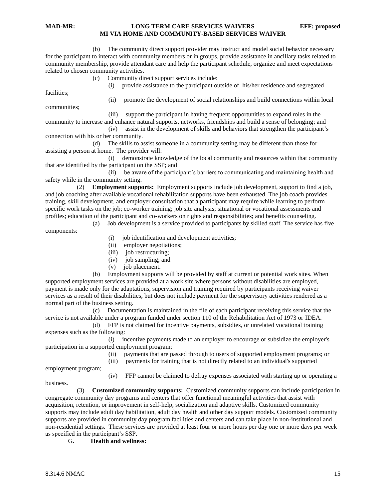(b) The community direct support provider may instruct and model social behavior necessary for the participant to interact with community members or in groups, provide assistance in ancillary tasks related to community membership, provide attendant care and help the participant schedule, organize and meet expectations related to chosen community activities.

(c) Community direct support services include:

(i) provide assistance to the participant outside of his/her residence and segregated

facilities;

communities;

(ii) promote the development of social relationships and build connections within local

 (iii) support the participant in having frequent opportunities to expand roles in the community to increase and enhance natural supports, networks, friendships and build a sense of belonging; and (iv) assist in the development of skills and behaviors that strengthen the participant's

connection with his or her community.

 (d) The skills to assist someone in a community setting may be different than those for assisting a person at home. The provider will:

 (i) demonstrate knowledge of the local community and resources within that community that are identified by the participant on the SSP; and

 (ii) be aware of the participant's barriers to communicating and maintaining health and safety while in the community setting.

 (2) **Employment supports:** Employment supports include job development, support to find a job, and job coaching after available vocational rehabilitation supports have been exhausted. The job coach provides training, skill development, and employer consultation that a participant may require while learning to perform specific work tasks on the job; co-worker training; job site analysis; situational or vocational assessments and profiles; education of the participant and co-workers on rights and responsibilities; and benefits counseling.

 (a) Job development is a service provided to participants by skilled staff. The service has five components:

- (i) job identification and development activities;
- (ii) employer negotiations;
- (iii) job restructuring;
- (iv) job sampling; and
- (v) job placement.

 (b) Employment supports will be provided by staff at current or potential work sites. When supported employment services are provided at a work site where persons without disabilities are employed, payment is made only for the adaptations, supervision and training required by participants receiving waiver services as a result of their disabilities, but does not include payment for the supervisory activities rendered as a normal part of the business setting.

 (c) Documentation is maintained in the file of each participant receiving this service that the service is not available under a program funded under section 110 of the Rehabilitation Act of 1973 or IDEA.

 (d) FFP is not claimed for incentive payments, subsidies, or unrelated vocational training expenses such as the following:

 (i) incentive payments made to an employer to encourage or subsidize the employer's participation in a supported employment program;

- (ii) payments that are passed through to users of supported employment programs; or
- (iii) payments for training that is not directly related to an individual's supported

employment program;

(iv) FFP cannot be claimed to defray expenses associated with starting up or operating a

business.

 (3) **Customized community supports:** Customized community supports can include participation in congregate community day programs and centers that offer functional meaningful activities that assist with acquisition, retention, or improvement in self-help, socialization and adaptive skills. Customized community supports may include adult day habilitation, adult day health and other day support models. Customized community supports are provided in community day program facilities and centers and can take place in non-institutional and non-residential settings. These services are provided at least four or more hours per day one or more days per week as specified in the participant's SSP.

G**. Health and wellness:**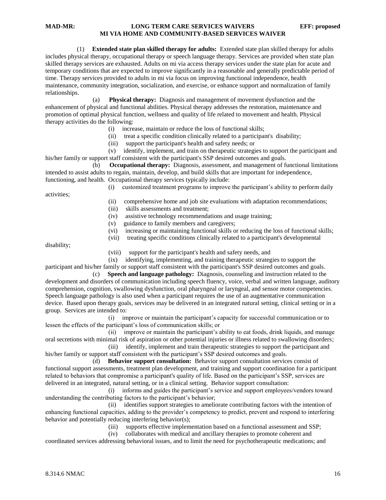(1) **Extended state plan skilled therapy for adults:** Extended state plan skilled therapy for adults includes physical therapy, occupational therapy or speech language therapy. Services are provided when state plan skilled therapy services are exhausted. Adults on mi via access therapy services under the state plan for acute and temporary conditions that are expected to improve significantly in a reasonable and generally predictable period of time. Therapy services provided to adults in mi via focus on improving functional independence, health maintenance, community integration, socialization, and exercise, or enhance support and normalization of family relationships.

 (a) **Physical therapy:** Diagnosis and management of movement dysfunction and the enhancement of physical and functional abilities. Physical therapy addresses the restoration, maintenance and promotion of optimal physical function, wellness and quality of life related to movement and health. Physical therapy activities do the following:

- (i) increase, maintain or reduce the loss of functional skills;
- (ii) treat a specific condition clinically related to a participant's disability;
- (iii) support the participant's health and safety needs; or

 (v) identify, implement, and train on therapeutic strategies to support the participant and his/her family or support staff consistent with the participant's SSP desired outcomes and goals.

**Occupational therapy:** Diagnosis, assessment, and management of functional limitations intended to assist adults to regain, maintain, develop, and build skills that are important for independence, functioning, and health. Occupational therapy services typically include:

(i) customized treatment programs to improve the participant's ability to perform daily

activities;

- (ii) comprehensive home and job site evaluations with adaptation recommendations;
- (iii) skills assessments and treatment;
- (iv) assistive technology recommendations and usage training;
- (v) guidance to family members and caregivers;
- (vi) increasing or maintaining functional skills or reducing the loss of functional skills;
- (vii) treating specific conditions clinically related to a participant's developmental

disability;

(viii) support for the participant's health and safety needs, and

(ix) identifying, implementing, and training therapeutic strategies to support the participant and his/her family or support staff consistent with the participant's SSP desired outcomes and goals.

 (c) **Speech and language pathology:** Diagnosis, counseling and instruction related to the development and disorders of communication including speech fluency, voice, verbal and written language, auditory comprehension, cognition, swallowing dysfunction, oral pharyngeal or laryngeal, and sensor motor competencies. Speech language pathology is also used when a participant requires the use of an augmentative communication device. Based upon therapy goals, services may be delivered in an integrated natural setting, clinical setting or in a group. Services are intended to:

 (i) improve or maintain the participant's capacity for successful communication or to lessen the effects of the participant's loss of communication skills; or

 (ii) improve or maintain the participant's ability to eat foods, drink liquids, and manage oral secretions with minimal risk of aspiration or other potential injuries or illness related to swallowing disorders;

 (iii) identify, implement and train therapeutic strategies to support the participant and his/her family or support staff consistent with the participant's SSP desired outcomes and goals.

 (d) **Behavior support consultation:** Behavior support consultation services consist of functional support assessments, treatment plan development, and training and support coordination for a participant related to behaviors that compromise a participant's quality of life. Based on the participant's SSP, services are delivered in an integrated, natural setting, or in a clinical setting. Behavior support consultation:

 (i) informs and guides the participant's service and support employees/vendors toward understanding the contributing factors to the participant's behavior;

 (ii) identifies support strategies to ameliorate contributing factors with the intention of enhancing functional capacities, adding to the provider's competency to predict, prevent and respond to interfering behavior and potentially reducing interfering behavior(s);

(iii) supports effective implementation based on a functional assessment and SSP;

(iv) collaborates with medical and ancillary therapies to promote coherent and

coordinated services addressing behavioral issues, and to limit the need for psychotherapeutic medications; and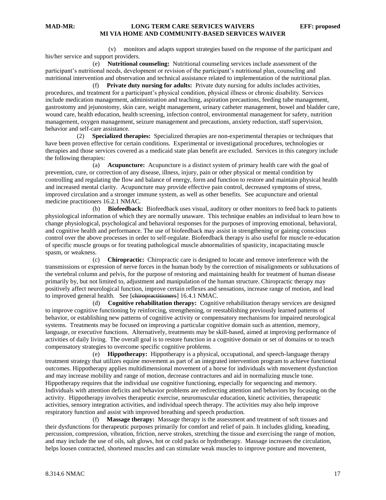(v) monitors and adapts support strategies based on the response of the participant and his/her service and support providers.

 (e) **Nutritional counseling:** Nutritional counseling services include assessment of the participant's nutritional needs, development or revision of the participant's nutritional plan, counseling and nutritional intervention and observation and technical assistance related to implementation of the nutritional plan.

 (f) **Private duty nursing for adults:** Private duty nursing for adults includes activities, procedures, and treatment for a participant's physical condition, physical illness or chronic disability. Services include medication management, administration and teaching, aspiration precautions, feeding tube management, gastrostomy and jejunostomy, skin care, weight management, urinary catheter management, bowel and bladder care, wound care, health education, health screening, infection control, environmental management for safety, nutrition management, oxygen management, seizure management and precautions, anxiety reduction, staff supervision, behavior and self-care assistance.

 (2) **Specialized therapies:** Specialized therapies are non-experimental therapies or techniques that have been proven effective for certain conditions. Experimental or investigational procedures, technologies or therapies and those services covered as a medicaid state plan benefit are excluded. Services in this category include the following therapies:

 (a) **Acupuncture:** Acupuncture is a distinct system of primary health care with the goal of prevention, cure, or correction of any disease, illness, injury, pain or other physical or mental condition by controlling and regulating the flow and balance of energy, form and function to restore and maintain physical health and increased mental clarity. Acupuncture may provide effective pain control, decreased symptoms of stress, improved circulation and a stronger immune system, as well as other benefits. See acupuncture and oriental medicine practitioners 16.2.1 NMAC.

 (b) **Biofeedback:** Biofeedback uses visual, auditory or other monitors to feed back to patients physiological information of which they are normally unaware. This technique enables an individual to learn how to change physiological, psychological and behavioral responses for the purposes of improving emotional, behavioral, and cognitive health and performance. The use of biofeedback may assist in strengthening or gaining conscious control over the above processes in order to self-regulate. Biofeedback therapy is also useful for muscle re-education of specific muscle groups or for treating pathological muscle abnormalities of spasticity, incapacitating muscle spasm, or weakness.

 (c) **Chiropractic:** Chiropractic care is designed to locate and remove interference with the transmissions or expression of nerve forces in the human body by the correction of misalignments or subluxations of the vertebral column and pelvis, for the purpose of restoring and maintaining health for treatment of human disease primarily by, but not limited to, adjustment and manipulation of the human structure. Chiropractic therapy may positively affect neurological function, improve certain reflexes and sensations, increase range of motion, and lead to improved general health. See [chiropractitioners] 16.4.1 NMAC.

 (d) **Cognitive rehabilitation therapy:** Cognitive rehabilitation therapy services are designed to improve cognitive functioning by reinforcing, strengthening, or reestablishing previously learned patterns of behavior, or establishing new patterns of cognitive activity or compensatory mechanisms for impaired neurological systems. Treatments may be focused on improving a particular cognitive domain such as attention, memory, language, or executive functions. Alternatively, treatments may be skill-based, aimed at improving performance of activities of daily living. The overall goal is to restore function in a cognitive domain or set of domains or to teach compensatory strategies to overcome specific cognitive problems.

 (e) **Hippotherapy:** Hippotherapy is a physical, occupational, and speech-language therapy treatment strategy that utilizes equine movement as part of an integrated intervention program to achieve functional outcomes. Hippotherapy applies multidimensional movement of a horse for individuals with movement dysfunction and may increase mobility and range of motion, decrease contractures and aid in normalizing muscle tone. Hippotherapy requires that the individual use cognitive functioning, especially for sequencing and memory. Individuals with attention deficits and behavior problems are redirecting attention and behaviors by focusing on the activity. Hippotherapy involves therapeutic exercise, neuromuscular education, kinetic activities, therapeutic activities, sensory integration activities, and individual speech therapy. The activities may also help improve respiratory function and assist with improved breathing and speech production.

 (f) **Massage therapy:** Massage therapy is the assessment and treatment of soft tissues and their dysfunctions for therapeutic purposes primarily for comfort and relief of pain. It includes gliding, kneading, percussion, compression, vibration, friction, nerve strokes, stretching the tissue and exercising the range of motion, and may include the use of oils, salt glows, hot or cold packs or hydrotherapy. Massage increases the circulation, helps loosen contracted, shortened muscles and can stimulate weak muscles to improve posture and movement,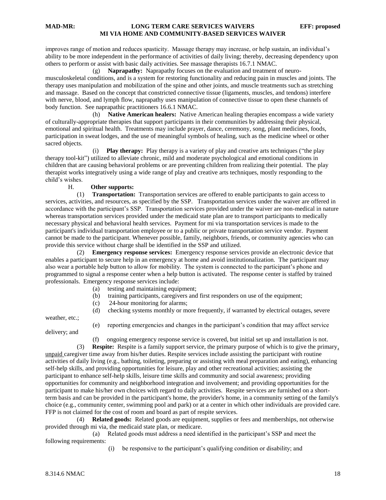improves range of motion and reduces spasticity. Massage therapy may increase, or help sustain, an individual's ability to be more independent in the performance of activities of daily living; thereby, decreasing dependency upon others to perform or assist with basic daily activities. See massage therapists 16.7.1 NMAC.

 (g) **Naprapathy:** Naprapathy focuses on the evaluation and treatment of neuromusculoskeletal conditions, and is a system for restoring functionality and reducing pain in muscles and joints. The therapy uses manipulation and mobilization of the spine and other joints, and muscle treatments such as stretching and massage. Based on the concept that constricted connective tissue (ligaments, muscles, and tendons) interfere with nerve, blood, and lymph flow, naprapathy uses manipulation of connective tissue to open these channels of body function. See naprapathic practitioners 16.6.1 NMAC.

 (h) **Native American healers:** Native American healing therapies encompass a wide variety of culturally-appropriate therapies that support participants in their communities by addressing their physical, emotional and spiritual health. Treatments may include prayer, dance, ceremony, song, plant medicines, foods, participation in sweat lodges, and the use of meaningful symbols of healing, such as the medicine wheel or other sacred objects.

 (i) **Play therapy:** Play therapy is a variety of play and creative arts techniques ("the play therapy tool-kit") utilized to alleviate chronic, mild and moderate psychological and emotional conditions in children that are causing behavioral problems or are preventing children from realizing their potential. The play therapist works integratively using a wide range of play and creative arts techniques, mostly responding to the child's wishes.

#### H. **Other supports:**

 (1) **Transportation:** Transportation services are offered to enable participants to gain access to services, activities, and resources, as specified by the SSP. Transportation services under the waiver are offered in accordance with the participant's SSP. Transportation services provided under the waiver are non-medical in nature whereas transportation services provided under the medicaid state plan are to transport participants to medically necessary physical and behavioral health services. Payment for mi via transportation services is made to the participant's individual transportation employee or to a public or private transportation service vendor. Payment cannot be made to the participant. Whenever possible, family, neighbors, friends, or community agencies who can provide this service without charge shall be identified in the SSP and utilized.

 (2) **Emergency response services:** Emergency response services provide an electronic device that enables a participant to secure help in an emergency at home and avoid institutionalization. The participant may also wear a portable help button to allow for mobility. The system is connected to the participant's phone and programmed to signal a response center when a help button is activated. The response center is staffed by trained professionals. Emergency response services include:

- (a) testing and maintaining equipment;
- (b) training participants, caregivers and first responders on use of the equipment;
- (c) 24-hour monitoring for alarms;
- (d) checking systems monthly or more frequently, if warranted by electrical outages, severe

weather, etc.;

(e) reporting emergencies and changes in the participant's condition that may affect service

(f) ongoing emergency response service is covered, but initial set up and installation is not.

 (3) **Respite:** Respite is a family support service, the primary purpose of which is to give the primary, unpaid caregiver time away from his/her duties. Respite services include assisting the participant with routine activities of daily living (e.g., bathing, toileting, preparing or assisting with meal preparation and eating), enhancing self-help skills, and providing opportunities for leisure, play and other recreational activities; assisting the participant to enhance self-help skills, leisure time skills and community and social awareness; providing opportunities for community and neighborhood integration and involvement; and providing opportunities for the participant to make his/her own choices with regard to daily activities. Respite services are furnished on a shortterm basis and can be provided in the participant's home, the provider's home, in a community setting of the family's choice (e.g., community center, swimming pool and park) or at a center in which other individuals are provided care. FFP is not claimed for the cost of room and board as part of respite services.

 (4) **Related goods:** Related goods are equipment, supplies or fees and memberships, not otherwise provided through mi via, the medicaid state plan, or medicare.

 (a) Related goods must address a need identified in the participant's SSP and meet the following requirements:

(i) be responsive to the participant's qualifying condition or disability; and

delivery; and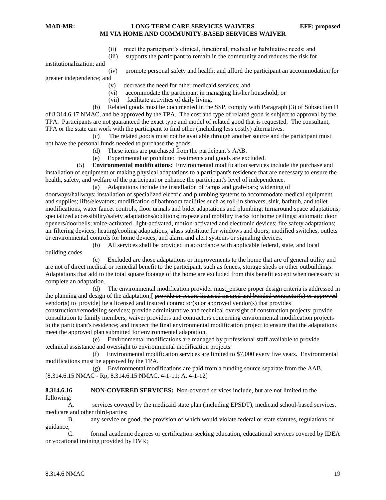- (ii) meet the participant's clinical, functional, medical or habilitative needs; and
- (iii) supports the participant to remain in the community and reduces the risk for

institutionalization; and

(iv) promote personal safety and health; and afford the participant an accommodation for

greater independence; and

- (v) decrease the need for other medicaid services; and
- (vi) accommodate the participant in managing his/her household; or
- (vii) facilitate activities of daily living.

 (b) Related goods must be documented in the SSP, comply with Paragraph (3) of Subsection D of 8.314.6.17 NMAC, and be approved by the TPA. The cost and type of related good is subject to approval by the TPA. Participants are not guaranteed the exact type and model of related good that is requested. The consultant, TPA or the state can work with the participant to find other (including less costly) alternatives.

 (c) The related goods must not be available through another source and the participant must not have the personal funds needed to purchase the goods.

- (d) These items are purchased from the participant's AAB.
- (e) Experimental or prohibited treatments and goods are excluded.

 (5) **Environmental modifications:** Environmental modification services include the purchase and installation of equipment or making physical adaptations to a participant's residence that are necessary to ensure the health, safety, and welfare of the participant or enhance the participant's level of independence.

(a) Adaptations include the installation of ramps and grab-bars; widening of

doorways/hallways; installation of specialized electric and plumbing systems to accommodate medical equipment and supplies; lifts/elevators; modification of bathroom facilities such as roll-in showers, sink, bathtub, and toilet modifications, water faucet controls, floor urinals and bidet adaptations and plumbing; turnaround space adaptations; specialized accessibility/safety adaptations/additions; trapeze and mobility tracks for home ceilings; automatic door openers/doorbells; voice-activated, light-activated, motion-activated and electronic devices; fire safety adaptations; air filtering devices; heating/cooling adaptations; glass substitute for windows and doors; modified switches, outlets or environmental controls for home devices; and alarm and alert systems or signaling devices.

 (b) All services shall be provided in accordance with applicable federal, state, and local building codes.

 (c) Excluded are those adaptations or improvements to the home that are of general utility and are not of direct medical or remedial benefit to the participant, such as fences, storage sheds or other outbuildings. Adaptations that add to the total square footage of the home are excluded from this benefit except when necessary to complete an adaptation.

 (d) The environmental modification provider must: ensure proper design criteria is addressed in the planning and design of the adaptation;[ provide or secure licensed insured and bonded contractor(s) or approved  $\overline{\text{vendor}}(s)$  to provide] be a licensed and insured contractor(s) or approved vendor(s) that provides construction/remodeling services; provide administrative and technical oversight of construction projects; provide consultation to family members, waiver providers and contractors concerning environmental modification projects to the participant's residence; and inspect the final environmental modification project to ensure that the adaptations meet the approved plan submitted for environmental adaptation.

 (e) Environmental modifications are managed by professional staff available to provide technical assistance and oversight to environmental modification projects.

 (f) Environmental modification services are limited to \$7,000 every five years. Environmental modifications must be approved by the TPA.

 (g) Environmental modifications are paid from a funding source separate from the AAB. [8.314.6.15 NMAC - Rp, 8.314.6.15 NMAC, 4-1-11; A, 4-1-12]

**8.314.6.16 NON-COVERED SERVICES:** Non-covered services include, but are not limited to the following:

A. services covered by the medicaid state plan (including EPSDT), medicaid school-based services, medicare and other third-parties;

B. any service or good, the provision of which would violate federal or state statutes, regulations or guidance;

C. formal academic degrees or certification-seeking education, educational services covered by IDEA or vocational training provided by DVR;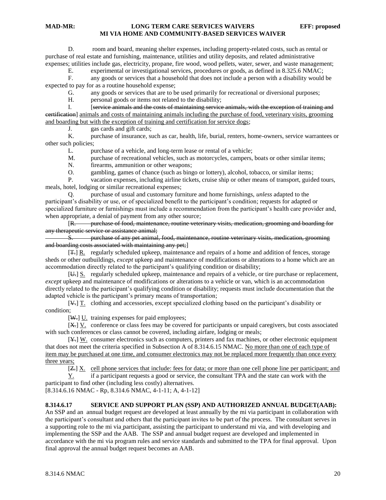D. room and board, meaning shelter expenses, including property-related costs, such as rental or purchase of real estate and furnishing, maintenance, utilities and utility deposits, and related administrative expenses; utilities include gas, electricity, propane, fire wood, wood pellets, water, sewer, and waste management;

E. experimental or investigational services, procedures or goods, as defined in 8.325.6 NMAC;

F. any goods or services that a household that does not include a person with a disability would be expected to pay for as a routine household expense;

G. any goods or services that are to be used primarily for recreational or diversional purposes;

H. personal goods or items not related to the disability;

I. [service animals and the costs of maintaining service animals, with the exception of training and certification] animals and costs of maintaining animals including the purchase of food, veterinary visits, grooming and boarding but with the exception of training and certification for service dogs;

J. gas cards and gift cards;<br>K. purchase of insurance, su

purchase of insurance, such as car, health, life, burial, renters, home-owners, service warrantees or other such policies;

L. purchase of a vehicle, and long-term lease or rental of a vehicle;

M. purchase of recreational vehicles, such as motorcycles, campers, boats or other similar items;

N. firearms, ammunition or other weapons;

O. gambling, games of chance (such as bingo or lottery), alcohol, tobacco, or similar items;

P. vacation expenses, including airline tickets, cruise ship or other means of transport, guided tours, meals, hotel, lodging or similar recreational expenses;

Q. purchase of usual and customary furniture and home furnishings, *unless* adapted to the participant's disability or use, or of specialized benefit to the participant's condition; requests for adapted or specialized furniture or furnishings must include a recommendation from the participant's health care provider and, when appropriate, a denial of payment from any other source;

[R. purchase of food, maintenance, routine veterinary visits, medication, grooming and boarding for any therapeutic service or assistance animal;<br>
S. Durchase of any pet animal;

S. purchase of any pet animal, food, maintenance, routine veterinary visits, medication, grooming and boarding costs associated with maintaining any pet;]

[T.] R. regularly scheduled upkeep, maintenance and repairs of a home and addition of fences, storage sheds or other outbuildings, *except* upkeep and maintenance of modifications or alterations to a home which are an accommodation directly related to the participant's qualifying condition or disability;

[U.] S. regularly scheduled upkeep, maintenance and repairs of a vehicle, or tire purchase or replacement, *except* upkeep and maintenance of modifications or alterations to a vehicle or van, which is an accommodation directly related to the participant's qualifying condition or disability; requests must include documentation that the adapted vehicle is the participant's primary means of transportation;

[V.] T. clothing and accessories, except specialized clothing based on the participant's disability or condition;

[W<sub>re</sub>] U. training expenses for paid employees;

[X.] V. conference or class fees may be covered for participants or unpaid caregivers, but costs associated with such conferences or class cannot be covered, including airfare, lodging or meals;

 $[\frac{V}{V}]$  W. consumer electronics such as computers, printers and fax machines, or other electronic equipment that does not meet the criteria specified in Subsection A of 8.314.6.15 NMAC. No more than one of each type of item may be purchased at one time, and consumer electronics may not be replaced more frequently than once every three years;

[Z.] X. cell phone services that include: fees for data; or more than one cell phone line per participant; and

Y. if a participant requests a good or service, the consultant TPA and the state can work with the participant to find other (including less costly) alternatives.

[8.314.6.16 NMAC - Rp, 8.314.6 NMAC, 4-1-11; A, 4-1-12]

#### **8.314.6.17 SERVICE AND SUPPORT PLAN (SSP) AND AUTHORIZED ANNUAL BUDGET(AAB):**

An SSP and an annual budget request are developed at least annually by the mi via participant in collaboration with the participant's consultant and others that the participant invites to be part of the process. The consultant serves in a supporting role to the mi via participant, assisting the participant to understand mi via, and with developing and implementing the SSP and the AAB. The SSP and annual budget request are developed and implemented in accordance with the mi via program rules and service standards and submitted to the TPA for final approval. Upon final approval the annual budget request becomes an AAB.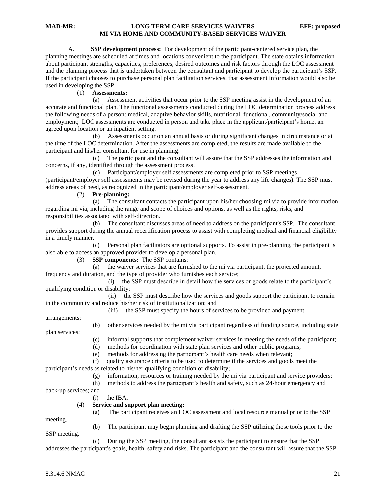A. **SSP development process:** For development of the participant-centered service plan, the planning meetings are scheduled at times and locations convenient to the participant. The state obtains information about participant strengths, capacities, preferences, desired outcomes and risk factors through the LOC assessment and the planning process that is undertaken between the consultant and participant to develop the participant's SSP. If the participant chooses to purchase personal plan facilitation services, that assessment information would also be used in developing the SSP.

### (1) **Assessments:**

 (a) Assessment activities that occur prior to the SSP meeting assist in the development of an accurate and functional plan. The functional assessments conducted during the LOC determination process address the following needs of a person: medical, adaptive behavior skills, nutritional, functional, community/social and employment; LOC assessments are conducted in person and take place in the applicant/participant's home, an agreed upon location or an inpatient setting.

 (b) Assessments occur on an annual basis or during significant changes in circumstance or at the time of the LOC determination. After the assessments are completed, the results are made available to the participant and his/her consultant for use in planning.

 (c) The participant and the consultant will assure that the SSP addresses the information and concerns, if any, identified through the assessment process.

 (d) Participant/employer self assessments are completed prior to SSP meetings (participant/employer self assessments may be revised during the year to address any life changes). The SSP must address areas of need, as recognized in the participant/employer self-assessment.

#### (2) **Pre-planning:**

 (a) The consultant contacts the participant upon his/her choosing mi via to provide information regarding mi via, including the range and scope of choices and options, as well as the rights, risks, and responsibilities associated with self-direction.

 (b) The consultant discusses areas of need to address on the participant's SSP. The consultant provides support during the annual recertification process to assist with completing medical and financial eligibility in a timely manner.

 (c) Personal plan facilitators are optional supports. To assist in pre-planning, the participant is also able to access an approved provider to develop a personal plan.

(3) **SSP components:** The SSP contains:

 (a) the waiver services that are furnished to the mi via participant, the projected amount, frequency and duration, and the type of provider who furnishes each service;

 (i) the SSP must describe in detail how the services or goods relate to the participant's qualifying condition or disability;

 (ii) the SSP must describe how the services and goods support the participant to remain in the community and reduce his/her risk of institutionalization; and

(iii) the SSP must specify the hours of services to be provided and payment

arrangements;

(b) other services needed by the mi via participant regardless of funding source, including state

plan services;

- (c) informal supports that complement waiver services in meeting the needs of the participant;
- (d) methods for coordination with state plan services and other public programs;

(e) methods for addressing the participant's health care needs when relevant;

 (f) quality assurance criteria to be used to determine if the services and goods meet the participant's needs as related to his/her qualifying condition or disability;

(g) information, resources or training needed by the mi via participant and service providers;

(a) The participant receives an LOC assessment and local resource manual prior to the SSP

(h) methods to address the participant's health and safety, such as 24-hour emergency and

back-up services; and

(i) the IBA.

#### (4) **Service and support plan meeting:**

meeting.

(b) The participant may begin planning and drafting the SSP utilizing those tools prior to the

SSP meeting.

 (c) During the SSP meeting, the consultant assists the participant to ensure that the SSP addresses the participant's goals, health, safety and risks. The participant and the consultant will assure that the SSP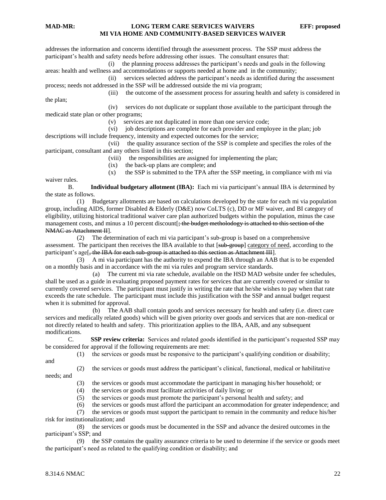waiver rules.

### **MAD-MR: LONG TERM CARE SERVICES WAIVERS EFF: proposed MI VIA HOME AND COMMUNITY-BASED SERVICES WAIVER**

addresses the information and concerns identified through the assessment process. The SSP must address the participant's health and safety needs before addressing other issues. The consultant ensures that:

 (i) the planning process addresses the participant's needs and goals in the following areas: health and wellness and accommodations or supports needed at home and in the community;

 (ii) services selected address the participant's needs as identified during the assessment process; needs not addressed in the SSP will be addressed outside the mi via program;

 (iii) the outcome of the assessment process for assuring health and safety is considered in the plan;

 (iv) services do not duplicate or supplant those available to the participant through the medicaid state plan or other programs;

(v) services are not duplicated in more than one service code;

(vi) job descriptions are complete for each provider and employee in the plan; job descriptions will include frequency, intensity and expected outcomes for the service;

 (vii) the quality assurance section of the SSP is complete and specifies the roles of the participant, consultant and any others listed in this section;

(viii) the responsibilities are assigned for implementing the plan;

(ix) the back-up plans are complete; and

(x) the SSP is submitted to the TPA after the SSP meeting, in compliance with mi via

B. **Individual budgetary allotment (IBA):** Each mi via participant's annual IBA is determined by the state as follows.

 (1) Budgetary allotments are based on calculations developed by the state for each mi via population group, including AIDS, former Disabled & Elderly (D&E) now CoLTS (c), DD or MF waiver, and BI category of eligibility, utilizing historical traditional waiver care plan authorized budgets within the population, minus the case management costs, and minus a 10 percent discount  $\frac{1}{2}$  the budget metholodogy is attached to this section of the NMAC as Attachment II].

 (2) The determination of each mi via participant's sub-group is based on a comprehensive assessment. The participant then receives the IBA available to that [sub-group] category of need, according to the participant's age<sup>[4]</sup> the IBA for each sub-group is attached to this section as Attachment III].

 (3) A mi via participant has the authority to expend the IBA through an AAB that is to be expended on a monthly basis and in accordance with the mi via rules and program service standards.

 (a) The current mi via rate schedule, available on the HSD MAD website under fee schedules, shall be used as a guide in evaluating proposed payment rates for services that are currently covered or similar to currently covered services. The participant must justify in writing the rate that he/she wishes to pay when that rate exceeds the rate schedule. The participant must include this justification with the SSP and annual budget request when it is submitted for approval.

 (b) The AAB shall contain goods and services necessary for health and safety (i.e. direct care services and medically related goods) which will be given priority over goods and services that are non-medical or not directly related to health and safety. This prioritization applies to the IBA, AAB, and any subsequent modifications.

C. **SSP review criteria:** Services and related goods identified in the participant's requested SSP may be considered for approval if the following requirements are met:

(1) the services or goods must be responsive to the participant's qualifying condition or disability;

and

 (2) the services or goods must address the participant's clinical, functional, medical or habilitative needs; and

(3) the services or goods must accommodate the participant in managing his/her household; or

(4) the services or goods must facilitate activities of daily living; or

(5) the services or goods must promote the participant's personal health and safety; and

(6) the services or goods must afford the participant an accommodation for greater independence; and

 (7) the services or goods must support the participant to remain in the community and reduce his/her risk for institutionalization; and

 (8) the services or goods must be documented in the SSP and advance the desired outcomes in the participant's SSP; and

 (9) the SSP contains the quality assurance criteria to be used to determine if the service or goods meet the participant's need as related to the qualifying condition or disability; and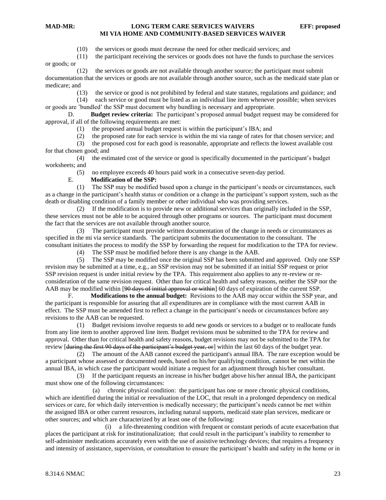(10) the services or goods must decrease the need for other medicaid services; and

(11) the participant receiving the services or goods does not have the funds to purchase the services

or goods; or

 (12) the services or goods are not available through another source; the participant must submit documentation that the services or goods are not available through another source, such as the medicaid state plan or medicare; and

(13) the service or good is not prohibited by federal and state statutes, regulations and guidance; and

(14) each service or good must be listed as an individual line item whenever possible; when services

or goods are 'bundled' the SSP must document why bundling is necessary and appropriate. D. **Budget review criteria:** The participant's proposed annual budget request may be considered for

approval, if all of the following requirements are met:

(1) the proposed annual budget request is within the participant's IBA; and

(2) the proposed rate for each service is within the mi via range of rates for that chosen service; and

 (3) the proposed cost for each good is reasonable, appropriate and reflects the lowest available cost for that chosen good; and

 (4) the estimated cost of the service or good is specifically documented in the participant's budget worksheets; and

(5) no employee exceeds 40 hours paid work in a consecutive seven-day period.

#### E. **Modification of the SSP:**

 (1) The SSP may be modified based upon a change in the participant's needs or circumstances, such as a change in the participant's health status or condition or a change in the participant's support system, such as the death or disabling condition of a family member or other individual who was providing services.

 (2) If the modification is to provide new or additional services than originally included in the SSP, these services must not be able to be acquired through other programs or sources. The participant must document the fact that the services are not available through another source.

 (3) The participant must provide written documentation of the change in needs or circumstances as specified in the mi via service standards. The participant submits the documentation to the consultant. The consultant initiates the process to modify the SSP by forwarding the request for modification to the TPA for review.

(4) The SSP must be modified before there is any change in the AAB.

 (5) The SSP may be modified once the original SSP has been submitted and approved. Only one SSP revision may be submitted at a time, e.g., an SSP revision may not be submitted if an initial SSP request or prior SSP revision request is under initial review by the TPA. This requirement also applies to any re-review or reconsideration of the same revision request. Other than for critical health and safety reasons, neither the SSP nor the AAB may be modified within [90 days of initial approval or within] 60 days of expiration of the current SSP.

F. **Modifications to the annual budget:** Revisions to the AAB may occur within the SSP year, and the participant is responsible for assuring that all expenditures are in compliance with the most current AAB in effect. The SSP must be amended first to reflect a change in the participant's needs or circumstances before any revisions to the AAB can be requested.

 (1) Budget revisions involve requests to add new goods or services to a budget or to reallocate funds from any line item to another approved line item. Budget revisions must be submitted to the TPA for review and approval. Other than for critical health and safety reasons, budget revisions may not be submitted to the TPA for review [<del>during the first 90 days of the participant's budget year, or</del>] within the last 60 days of the budget year.

 (2) The amount of the AAB cannot exceed the participant's annual IBA. The rare exception would be a participant whose assessed or documented needs, based on his/her qualifying condition, cannot be met within the annual IBA, in which case the participant would initiate a request for an adjustment through his/her consultant.

 (3) If the participant requests an increase in his/her budget above his/her annual IBA, the participant must show one of the following circumstances:

 (a) chronic physical condition: the participant has one or more chronic physical conditions, which are identified during the initial or reevaluation of the LOC, that result in a prolonged dependency on medical services or care, for which daily intervention is medically necessary; the participant's needs cannot be met within the assigned IBA or other current resources, including natural supports, medicaid state plan services, medicare or other sources; and which are characterized by at least one of the following:

 (i) a life-threatening condition with frequent or constant periods of acute exacerbation that places the participant at risk for institutionalization; that could result in the participant's inability to remember to self-administer medications accurately even with the use of assistive technology devices; that requires a frequency and intensity of assistance, supervision, or consultation to ensure the participant's health and safety in the home or in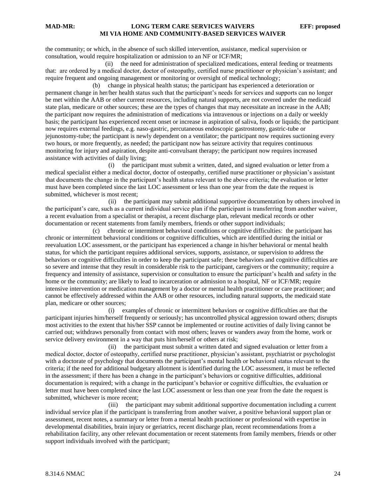the community; or which, in the absence of such skilled intervention, assistance, medical supervision or consultation, would require hospitalization or admission to an NF or ICF/MR;

 (ii) the need for administration of specialized medications, enteral feeding or treatments that: are ordered by a medical doctor, doctor of osteopathy, certified nurse practitioner or physician's assistant; and require frequent and ongoing management or monitoring or oversight of medical technology;

 (b) change in physical health status; the participant has experienced a deterioration or permanent change in her/her health status such that the participant's needs for services and supports can no longer be met within the AAB or other current resources, including natural supports, are not covered under the medicaid state plan, medicare or other sources; these are the types of changes that may necessitate an increase in the AAB; the participant now requires the administration of medications via intravenous or injections on a daily or weekly basis; the participant has experienced recent onset or increase in aspiration of saliva, foods or liquids; the participant now requires external feedings, e.g. naso-gastric, percutaneous endoscopic gastrostomy, gastric-tube or jejunostomy-tube; the participant is newly dependent on a ventilator; the participant now requires suctioning every two hours, or more frequently, as needed; the participant now has seizure activity that requires continuous monitoring for injury and aspiration, despite anti-convulsant therapy; the participant now requires increased assistance with activities of daily living;

 (i) the participant must submit a written, dated, and signed evaluation or letter from a medical specialist either a medical doctor, doctor of osteopathy, certified nurse practitioner or physician's assistant that documents the change in the participant's health status relevant to the above criteria; the evaluation or letter must have been completed since the last LOC assessment or less than one year from the date the request is submitted, whichever is most recent;

 (ii) the participant may submit additional supportive documentation by others involved in the participant's care, such as a current individual service plan if the participant is transferring from another waiver, a recent evaluation from a specialist or therapist, a recent discharge plan, relevant medical records or other documentation or recent statements from family members, friends or other support individuals;

 (c) chronic or intermittent behavioral conditions or cognitive difficulties: the participant has chronic or intermittent behavioral conditions or cognitive difficulties, which are identified during the initial or reevaluation LOC assessment, or the participant has experienced a change in his/her behavioral or mental health status, for which the participant requires additional services, supports, assistance, or supervision to address the behaviors or cognitive difficulties in order to keep the participant safe; these behaviors and cognitive difficulties are so severe and intense that they result in considerable risk to the participant, caregivers or the community; require a frequency and intensity of assistance, supervision or consultation to ensure the participant's health and safety in the home or the community; are likely to lead to incarceration or admission to a hospital, NF or ICF/MR; require intensive intervention or medication management by a doctor or mental health practitioner or care practitioner; and cannot be effectively addressed within the AAB or other resources, including natural supports, the medicaid state plan, medicare or other sources;

 (i) examples of chronic or intermittent behaviors or cognitive difficulties are that the participant injuries him/herself frequently or seriously; has uncontrolled physical aggression toward others; disrupts most activities to the extent that his/her SSP cannot be implemented or routine activities of daily living cannot be carried out; withdraws personally from contact with most others; leaves or wanders away from the home, work or service delivery environment in a way that puts him/herself or others at risk;

 (ii) the participant must submit a written dated and signed evaluation or letter from a medical doctor, doctor of osteopathy, certified nurse practitioner, physician's assistant, psychiatrist or psychologist with a doctorate of psychology that documents the participant's mental health or behavioral status relevant to the criteria; if the need for additional budgetary allotment is identified during the LOC assessment, it must be reflected in the assessment; if there has been a change in the participant's behaviors or cognitive difficulties, additional documentation is required; with a change in the participant's behavior or cognitive difficulties, the evaluation or letter must have been completed since the last LOC assessment or less than one year from the date the request is submitted, whichever is more recent;

 (iii) the participant may submit additional supportive documentation including a current individual service plan if the participant is transferring from another waiver, a positive behavioral support plan or assessment, recent notes, a summary or letter from a mental health practitioner or professional with expertise in developmental disabilities, brain injury or geriatrics, recent discharge plan, recent recommendations from a rehabilitation facility, any other relevant documentation or recent statements from family members, friends or other support individuals involved with the participant;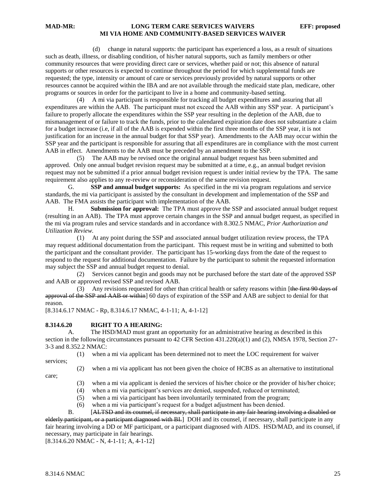(d) change in natural supports: the participant has experienced a loss, as a result of situations such as death, illness, or disabling condition, of his/her natural supports, such as family members or other community resources that were providing direct care or services, whether paid or not; this absence of natural supports or other resources is expected to continue throughout the period for which supplemental funds are requested; the type, intensity or amount of care or services previously provided by natural supports or other resources cannot be acquired within the IBA and are not available through the medicaid state plan, medicare, other programs or sources in order for the participant to live in a home and community-based setting.

 (4) A mi via participant is responsible for tracking all budget expenditures and assuring that all expenditures are within the AAB. The participant must not exceed the AAB within any SSP year. A participant's failure to properly allocate the expenditures within the SSP year resulting in the depletion of the AAB, due to mismanagement of or failure to track the funds, prior to the calendared expiration date does not substantiate a claim for a budget increase (i.e, if all of the AAB is expended within the first three months of the SSP year, it is not justification for an increase in the annual budget for that SSP year). Amendments to the AAB may occur within the SSP year and the participant is responsible for assuring that all expenditures are in compliance with the most current AAB in effect. Amendments to the AAB must be preceded by an amendment to the SSP.

 (5) The AAB may be revised once the original annual budget request has been submitted and approved. Only one annual budget revision request may be submitted at a time, e.g., an annual budget revision request may not be submitted if a prior annual budget revision request is under initial review by the TPA. The same requirement also applies to any re-review or reconsideration of the same revision request.

G. **SSP and annual budget supports:** As specified in the mi via program regulations and service standards, the mi via participant is assisted by the consultant in development and implementation of the SSP and AAB. The FMA assists the participant with implementation of the AAB.

H. **Submission for approval:** The TPA must approve the SSP and associated annual budget request (resulting in an AAB). The TPA must approve certain changes in the SSP and annual budget request, as specified in the mi via program rules and service standards and in accordance with 8.302.5 NMAC, *Prior Authorization and Utilization Review.*

(1) At any point during the SSP and associated annual budget utilization review process, the TPA may request additional documentation from the participant. This request must be in writing and submitted to both the participant and the consultant provider. The participant has 15-working days from the date of the request to respond to the request for additional documentation. Failure by the participant to submit the requested information may subject the SSP and annual budget request to denial.

 (2) Services cannot begin and goods may not be purchased before the start date of the approved SSP and AAB or approved revised SSP and revised AAB.

(3) Any revisions requested for other than critical health or safety reasons within [the first 90 days of approval of the SSP and AAB or within] 60 days of expiration of the SSP and AAB are subject to denial for that reason.

[8.314.6.17 NMAC - Rp, 8.314.6.17 NMAC, 4-1-11; A, 4-1-12]

#### **8.314.6.20 RIGHT TO A HEARING:**

A. The HSD/MAD must grant an opportunity for an administrative hearing as described in this section in the following circumstances pursuant to 42 CFR Section 431.220(a)(1) and (2), NMSA 1978, Section 27- 3-3 and 8.352.2 NMAC:

(1) when a mi via applicant has been determined not to meet the LOC requirement for waiver

services;

care;

(2) when a mi via applicant has not been given the choice of HCBS as an alternative to institutional

- $(3)$  when a mi via applicant is denied the services of his/her choice or the provider of his/her choice;
- (4) when a mi via participant's services are denied, suspended, reduced or terminated;
- (5) when a mi via participant has been involuntarily terminated from the program;
- (6) when a mi via participant's request for a budget adjustment has been denied.

B. [ALTSD and its counsel, if necessary, shall participate in any fair hearing involving a disabled or elderly participant, or a participant diagnosed with BI. DOH and its counsel, if necessary, shall participate in any fair hearing involving a DD or MF participant, or a participant diagnosed with AIDS. HSD/MAD, and its counsel, if necessary, may participate in fair hearings.

 $[8.314.6.20 \text{ NMAC} - \dot{\text{N}}, 4-1-11; \text{A}, 4-1-12]$